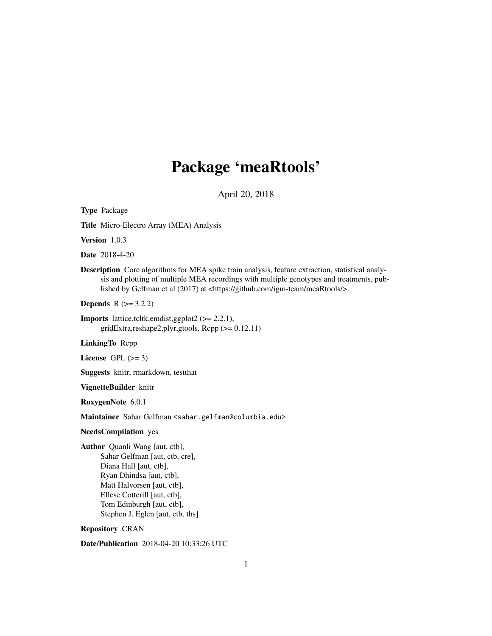# Package 'meaRtools'

April 20, 2018

Type Package Title Micro-Electro Array (MEA) Analysis Version 1.0.3 Date 2018-4-20 Description Core algorithms for MEA spike train analysis, feature extraction, statistical analysis and plotting of multiple MEA recordings with multiple genotypes and treatments, published by Gelfman et al (2017) at <https://github.com/igm-team/meaRtools/>. **Depends**  $R$  ( $>= 3.2.2$ ) **Imports** lattice,tcltk,emdist,ggplot2  $(>= 2.2.1)$ , gridExtra,reshape2,plyr,gtools, Rcpp (>= 0.12.11) LinkingTo Rcpp License GPL  $(>= 3)$ Suggests knitr, rmarkdown, testthat VignetteBuilder knitr RoxygenNote 6.0.1 Maintainer Sahar Gelfman <sahar.gelfman@columbia.edu> NeedsCompilation yes Author Quanli Wang [aut, ctb], Sahar Gelfman [aut, ctb, cre], Diana Hall [aut, ctb], Ryan Dhindsa [aut, ctb], Matt Halvorsen [aut, ctb], Ellese Cotterill [aut, ctb], Tom Edinburgh [aut, ctb], Stephen J. Eglen [aut, ctb, ths] Repository CRAN

Date/Publication 2018-04-20 10:33:26 UTC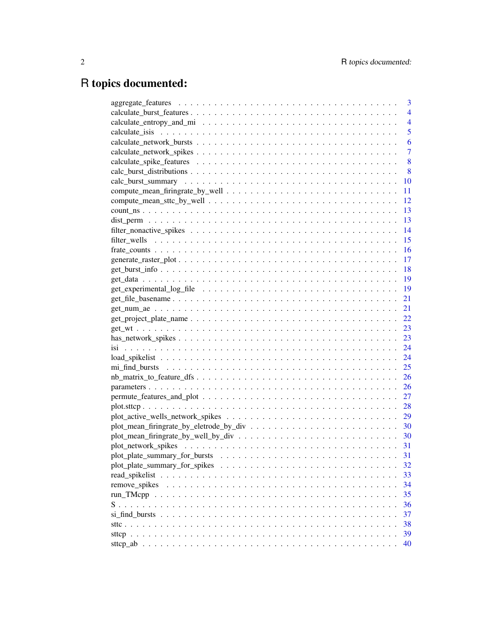# R topics documented:

|                                                                                                           | 3              |
|-----------------------------------------------------------------------------------------------------------|----------------|
|                                                                                                           | 4              |
|                                                                                                           | $\overline{4}$ |
|                                                                                                           | 5              |
|                                                                                                           | 6              |
|                                                                                                           | 7              |
|                                                                                                           | 8              |
|                                                                                                           | 8              |
|                                                                                                           | 10             |
|                                                                                                           | 11             |
|                                                                                                           | 12             |
|                                                                                                           | 13             |
|                                                                                                           | 13             |
|                                                                                                           | 14             |
|                                                                                                           | 15             |
|                                                                                                           | 16             |
|                                                                                                           | 17             |
|                                                                                                           | 18             |
|                                                                                                           | 19             |
|                                                                                                           | 19             |
|                                                                                                           | 21             |
|                                                                                                           | 21             |
| $get\_project\_plate\_name \dots \dots \dots \dots \dots \dots \dots \dots \dots \dots \dots \dots \dots$ | 22             |
|                                                                                                           | 23             |
|                                                                                                           | 23             |
|                                                                                                           | 24             |
|                                                                                                           | 24             |
|                                                                                                           | 25             |
|                                                                                                           | 26             |
|                                                                                                           | 26             |
|                                                                                                           | 27             |
|                                                                                                           | 28             |
|                                                                                                           | 29             |
|                                                                                                           |                |
|                                                                                                           |                |
|                                                                                                           |                |
|                                                                                                           | 31             |
|                                                                                                           | 32             |
| read spikelist                                                                                            | 33             |
| remove_spikes                                                                                             | 34             |
|                                                                                                           | 35             |
|                                                                                                           | 36             |
|                                                                                                           | 37             |
|                                                                                                           | 38             |
|                                                                                                           | 39             |
|                                                                                                           | 40             |
|                                                                                                           |                |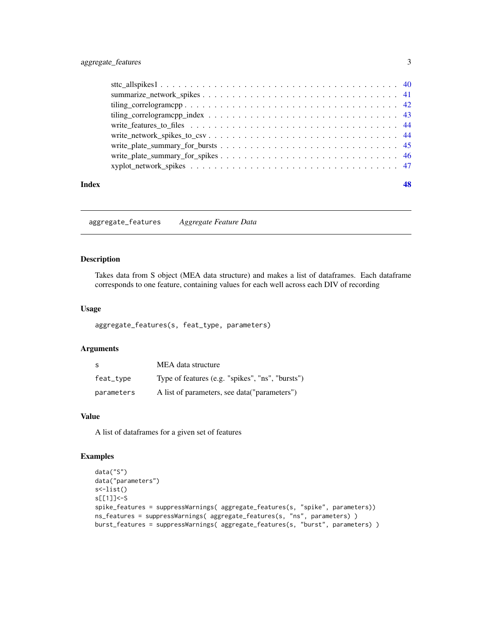## <span id="page-2-0"></span>aggregate\_features 3

| Index |  |
|-------|--|
|       |  |
|       |  |
|       |  |
|       |  |
|       |  |
|       |  |
|       |  |
|       |  |
|       |  |

<span id="page-2-1"></span>aggregate\_features *Aggregate Feature Data*

## Description

Takes data from S object (MEA data structure) and makes a list of dataframes. Each dataframe corresponds to one feature, containing values for each well across each DIV of recording

## Usage

aggregate\_features(s, feat\_type, parameters)

## Arguments

| -S         | MEA data structure                               |
|------------|--------------------------------------------------|
| feat_type  | Type of features (e.g. "spikes", "ns", "bursts") |
| parameters | A list of parameters, see data("parameters")     |

## Value

A list of dataframes for a given set of features

#### Examples

```
data("S")
data("parameters")
s<-list()
s[[1]]<-S
spike_features = suppressWarnings( aggregate_features(s, "spike", parameters))
ns_features = suppressWarnings( aggregate_features(s, "ns", parameters) )
burst_features = suppressWarnings( aggregate_features(s, "burst", parameters) )
```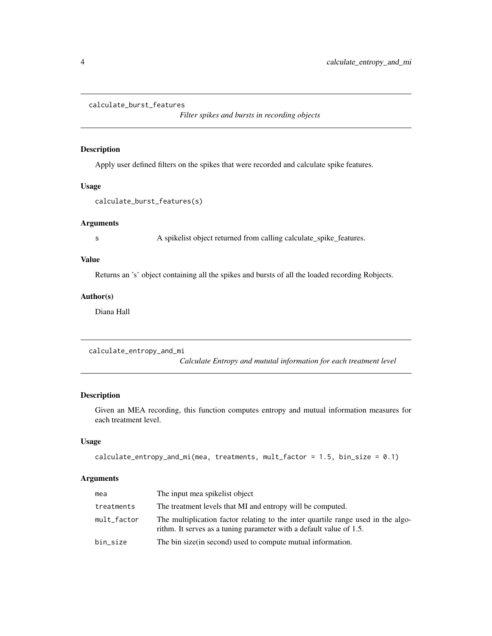```
calculate_burst_features
```
*Filter spikes and bursts in recording objects*

## Description

Apply user defined filters on the spikes that were recorded and calculate spike features.

## Usage

calculate\_burst\_features(s)

## Arguments

s A spikelist object returned from calling calculate\_spike\_features.

## Value

Returns an 's' object containing all the spikes and bursts of all the loaded recording Robjects.

### Author(s)

Diana Hall

calculate\_entropy\_and\_mi

*Calculate Entropy and mututal information for each treatment level*

#### Description

Given an MEA recording, this function computes entropy and mutual information measures for each treatment level.

## Usage

```
calculate_entropy_and_mi(mea, treatments, mult_factor = 1.5, bin_size = 0.1)
```
#### Arguments

| mea         | The input mea spikelist object                                                                                                                          |
|-------------|---------------------------------------------------------------------------------------------------------------------------------------------------------|
| treatments  | The treatment levels that MI and entropy will be computed.                                                                                              |
| mult_factor | The multiplication factor relating to the inter quartile range used in the algo-<br>rithm. It serves as a tuning parameter with a default value of 1.5. |
| bin_size    | The bin size (in second) used to compute mutual information.                                                                                            |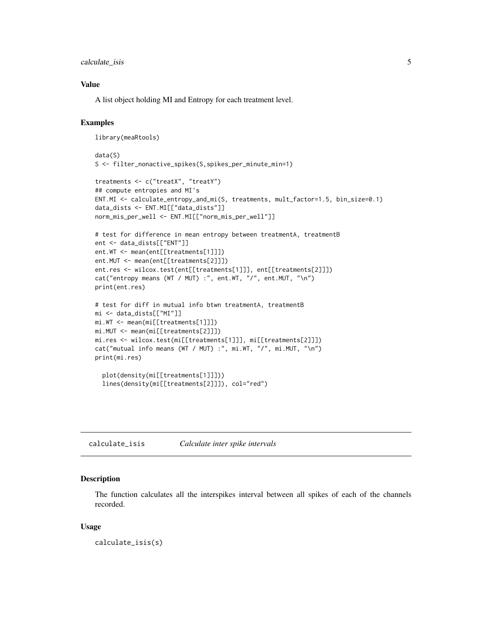<span id="page-4-0"></span>calculate\_isis 5

## Value

A list object holding MI and Entropy for each treatment level.

#### Examples

```
library(meaRtools)
data(S)
S <- filter_nonactive_spikes(S,spikes_per_minute_min=1)
treatments <- c("treatX", "treatY")
## compute entropies and MI's
ENT.MI <- calculate_entropy_and_mi(S, treatments, mult_factor=1.5, bin_size=0.1)
data_dists <- ENT.MI[["data_dists"]]
norm_mis_per_well <- ENT.MI[["norm_mis_per_well"]]
# test for difference in mean entropy between treatmentA, treatmentB
ent <- data_dists[["ENT"]]
ent.WT <- mean(ent[[treatments[1]]])
ent.MUT <- mean(ent[[treatments[2]]])
ent.res <- wilcox.test(ent[[treatments[1]]], ent[[treatments[2]]])
cat("entropy means (WT / MUT) :", ent.WT, "/", ent.MUT, "\n")
print(ent.res)
# test for diff in mutual info btwn treatmentA, treatmentB
mi <- data_dists[["MI"]]
mi.WT <- mean(mi[[treatments[1]]])
mi.MUT <- mean(mi[[treatments[2]]])
mi.res <- wilcox.test(mi[[treatments[1]]], mi[[treatments[2]]])
cat("mutual info means (WT / MUT) :", mi.WT, "/", mi.MUT, "\n")
print(mi.res)
  plot(density(mi[[treatments[1]]]))
  lines(density(mi[[treatments[2]]]), col="red")
```
calculate\_isis *Calculate inter spike intervals*

#### Description

The function calculates all the interspikes interval between all spikes of each of the channels recorded.

#### Usage

calculate\_isis(s)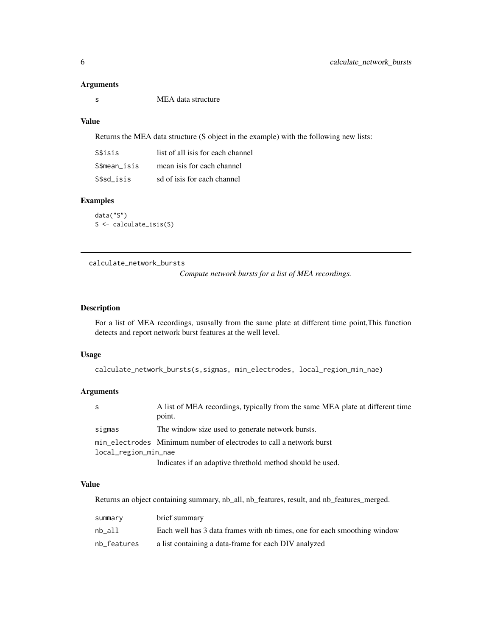#### <span id="page-5-0"></span>Arguments

s MEA data structure

## Value

Returns the MEA data structure (S object in the example) with the following new lists:

| S\$isis      | list of all isis for each channel |
|--------------|-----------------------------------|
| S\$mean isis | mean is s for each channel        |
| S\$sd isis   | sd of is is for each channel      |

## Examples

data("S") S <- calculate\_isis(S)

<span id="page-5-1"></span>calculate\_network\_bursts

*Compute network bursts for a list of MEA recordings.*

## Description

For a list of MEA recordings, ususally from the same plate at different time point,This function detects and report network burst features at the well level.

#### Usage

```
calculate_network_bursts(s,sigmas, min_electrodes, local_region_min_nae)
```
## Arguments

| -S                   | A list of MEA recordings, typically from the same MEA plate at different time |  |
|----------------------|-------------------------------------------------------------------------------|--|
|                      | point.                                                                        |  |
| sigmas               | The window size used to generate network bursts.                              |  |
|                      | min_electrodes Minimum number of electrodes to call a network burst           |  |
| local_region_min_nae |                                                                               |  |
|                      | Indicates if an adaptive threthold method should be used.                     |  |

#### Value

Returns an object containing summary, nb\_all, nb\_features, result, and nb\_features\_merged.

| summary     | brief summary                                                            |
|-------------|--------------------------------------------------------------------------|
| nb all      | Each well has 3 data frames with nb times, one for each smoothing window |
| nb_features | a list containing a data-frame for each DIV analyzed                     |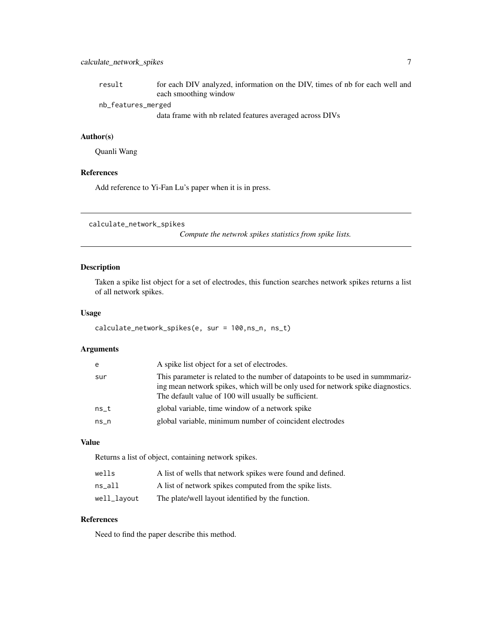<span id="page-6-0"></span>

| result             | for each DIV analyzed, information on the DIV, times of nb for each well and |
|--------------------|------------------------------------------------------------------------------|
|                    | each smoothing window                                                        |
| nb_features_merged |                                                                              |
|                    | data frame with nb related features averaged across DIVs                     |

## Author(s)

Quanli Wang

## References

Add reference to Yi-Fan Lu's paper when it is in press.

calculate\_network\_spikes

*Compute the netwrok spikes statistics from spike lists.*

## Description

Taken a spike list object for a set of electrodes, this function searches network spikes returns a list of all network spikes.

#### Usage

```
calculate_network_spikes(e, sur = 100,ns_n, ns_t)
```
## Arguments

| e    | A spike list object for a set of electrodes.                                                                                                                                                                              |
|------|---------------------------------------------------------------------------------------------------------------------------------------------------------------------------------------------------------------------------|
| sur  | This parameter is related to the number of datapoints to be used in summmariz-<br>ing mean network spikes, which will be only used for network spike diagnostics.<br>The default value of 100 will usually be sufficient. |
| ns t | global variable, time window of a network spike                                                                                                                                                                           |
| ns n | global variable, minimum number of coincident electrodes                                                                                                                                                                  |
|      |                                                                                                                                                                                                                           |

## Value

Returns a list of object, containing network spikes.

| wells       | A list of wells that network spikes were found and defined. |
|-------------|-------------------------------------------------------------|
| ns all      | A list of network spikes computed from the spike lists.     |
| well_layout | The plate/well layout identified by the function.           |

### References

Need to find the paper describe this method.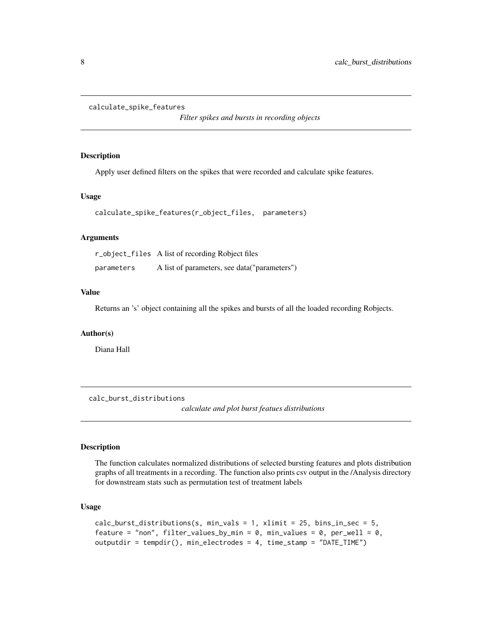```
calculate_spike_features
```
*Filter spikes and bursts in recording objects*

#### Description

Apply user defined filters on the spikes that were recorded and calculate spike features.

#### Usage

```
calculate_spike_features(r_object_files, parameters)
```
## Arguments

r\_object\_files A list of recording Robject files parameters A list of parameters, see data("parameters")

## Value

Returns an 's' object containing all the spikes and bursts of all the loaded recording Robjects.

#### Author(s)

Diana Hall

calc\_burst\_distributions

*calculate and plot burst featues distributions*

## Description

The function calculates normalized distributions of selected bursting features and plots distribution graphs of all treatments in a recording. The function also prints csv output in the /Analysis directory for downstream stats such as permutation test of treatment labels

#### Usage

```
calc_burst_distributions(s, min_vals = 1, xlimit = 25, bins_in\_sec = 5,feature = "non", filter_values_by_min = 0, min_values = 0, per_well = 0,
outputdir = tempdir(), min_electrodes = 4, time_stamp = "DATE_TIME")
```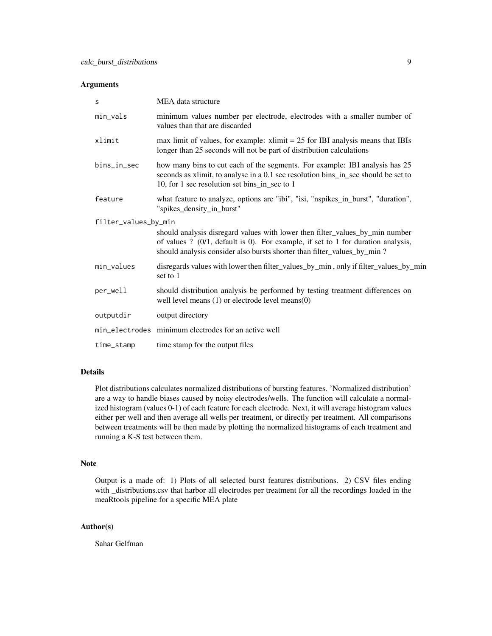## Arguments

| S                    | MEA data structure                                                                                                                                                                                                                          |
|----------------------|---------------------------------------------------------------------------------------------------------------------------------------------------------------------------------------------------------------------------------------------|
| $min\_vals$          | minimum values number per electrode, electrodes with a smaller number of<br>values than that are discarded                                                                                                                                  |
| xlimit               | max limit of values, for example: $x\text{ limit} = 25$ for IBI analysis means that IBIs<br>longer than 25 seconds will not be part of distribution calculations                                                                            |
| bins_in_sec          | how many bins to cut each of the segments. For example: IBI analysis has 25<br>seconds as xlimit, to analyse in a 0.1 sec resolution bins_in_sec should be set to<br>10, for 1 sec resolution set bins_in_sec to 1                          |
| feature              | what feature to analyze, options are "ibi", "isi, "nspikes_in_burst", "duration",<br>"spikes_density_in_burst"                                                                                                                              |
| filter_values_by_min | should analysis disregard values with lower then filter_values_by_min number<br>of values ? (0/1, default is 0). For example, if set to 1 for duration analysis,<br>should analysis consider also bursts shorter than filter_values_by_min? |
| min values           | disregards values with lower then filter_values_by_min, only if filter_values_by_min<br>set to 1                                                                                                                                            |
| per_well             | should distribution analysis be performed by testing treatment differences on<br>well level means $(1)$ or electrode level means $(0)$                                                                                                      |
| outputdir            | output directory                                                                                                                                                                                                                            |
|                      | min_electrodes minimum electrodes for an active well                                                                                                                                                                                        |
| time_stamp           | time stamp for the output files                                                                                                                                                                                                             |

## Details

Plot distributions calculates normalized distributions of bursting features. 'Normalized distribution' are a way to handle biases caused by noisy electrodes/wells. The function will calculate a normalized histogram (values 0-1) of each feature for each electrode. Next, it will average histogram values either per well and then average all wells per treatment, or directly per treatment. All comparisons between treatments will be then made by plotting the normalized histograms of each treatment and running a K-S test between them.

## Note

Output is a made of: 1) Plots of all selected burst features distributions. 2) CSV files ending with \_distributions.csv that harbor all electrodes per treatment for all the recordings loaded in the meaRtools pipeline for a specific MEA plate

## Author(s)

Sahar Gelfman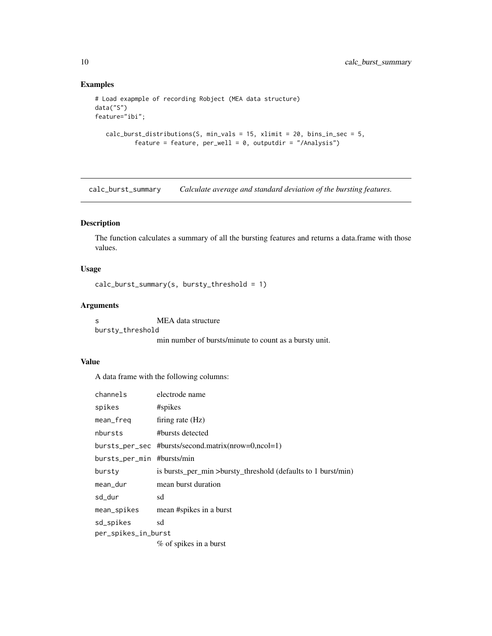## Examples

```
# Load exapmple of recording Robject (MEA data structure)
data("S")
feature="ibi";
  calc_burst_distributions(S, min_vals = 15, xlimit = 20, bins_in_sec = 5,
           feature = feature, per\_well = 0, outputdir = "/Analysis")
```
calc\_burst\_summary *Calculate average and standard deviation of the bursting features.*

## Description

The function calculates a summary of all the bursting features and returns a data.frame with those values.

## Usage

```
calc_burst_summary(s, bursty_threshold = 1)
```
## Arguments

s MEA data structure bursty\_threshold

min number of bursts/minute to count as a bursty unit.

### Value

A data frame with the following columns:

| channels                   | electrode name                                                |
|----------------------------|---------------------------------------------------------------|
| spikes                     | #spikes                                                       |
| mean_freq                  | firing rate $(Hz)$                                            |
| nbursts                    | #bursts detected                                              |
|                            | bursts_per_sec #bursts/second.matrix(nrow=0,ncol=1)           |
| bursts_per_min #bursts/min |                                                               |
| bursty                     | is bursts_per_min >bursty_threshold (defaults to 1 burst/min) |
| mean_dur                   | mean burst duration                                           |
| sd_dur                     | sd                                                            |
| mean_spikes                | mean #spikes in a burst                                       |
| sd_spikes                  | sd                                                            |
| per_spikes_in_burst        |                                                               |
|                            | % of spikes in a burst                                        |

<span id="page-9-0"></span>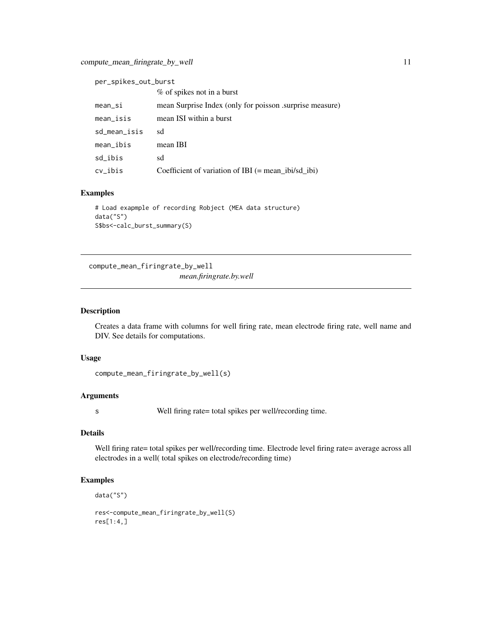<span id="page-10-0"></span>

| per_spikes_out_burst |                                                         |
|----------------------|---------------------------------------------------------|
|                      | % of spikes not in a burst                              |
| mean_si              | mean Surprise Index (only for poisson surprise measure) |
| mean_isis            | mean ISI within a burst                                 |
| sd_mean_isis         | sd                                                      |
| mean_ibis            | mean IBI                                                |
| sd_ibis              | sd                                                      |
| cv_ibis              | Coefficient of variation of IBI $(=$ mean_ibi/sd_ibi)   |

## Examples

```
# Load exapmple of recording Robject (MEA data structure)
data("S")
S$bs<-calc_burst_summary(S)
```
compute\_mean\_firingrate\_by\_well *mean.firingrate.by.well*

## Description

Creates a data frame with columns for well firing rate, mean electrode firing rate, well name and DIV. See details for computations.

## Usage

```
compute_mean_firingrate_by_well(s)
```
## Arguments

s Well firing rate= total spikes per well/recording time.

## Details

Well firing rate= total spikes per well/recording time. Electrode level firing rate= average across all electrodes in a well( total spikes on electrode/recording time)

## Examples

```
data("S")
```

```
res<-compute_mean_firingrate_by_well(S)
res[1:4,]
```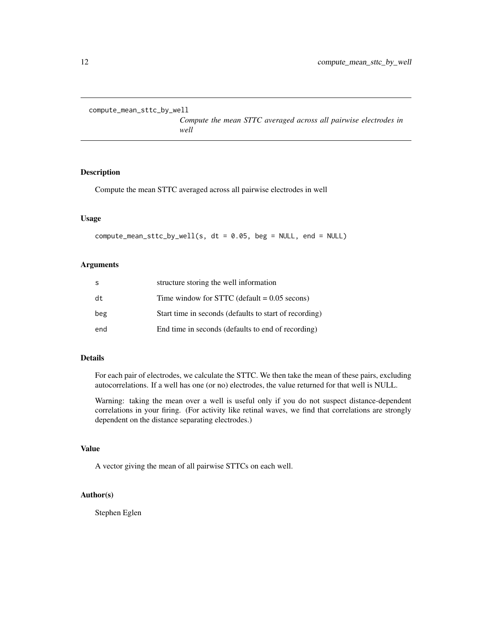<span id="page-11-0"></span>compute\_mean\_sttc\_by\_well

*Compute the mean STTC averaged across all pairwise electrodes in well*

## Description

Compute the mean STTC averaged across all pairwise electrodes in well

#### Usage

compute\_mean\_sttc\_by\_well(s, dt = 0.05, beg = NULL, end = NULL)

## Arguments

| S   | structure storing the well information                 |
|-----|--------------------------------------------------------|
| dt  | Time window for STTC (default $= 0.05$ secons)         |
| beg | Start time in seconds (defaults to start of recording) |
| end | End time in seconds (defaults to end of recording)     |

#### Details

For each pair of electrodes, we calculate the STTC. We then take the mean of these pairs, excluding autocorrelations. If a well has one (or no) electrodes, the value returned for that well is NULL.

Warning: taking the mean over a well is useful only if you do not suspect distance-dependent correlations in your firing. (For activity like retinal waves, we find that correlations are strongly dependent on the distance separating electrodes.)

#### Value

A vector giving the mean of all pairwise STTCs on each well.

## Author(s)

Stephen Eglen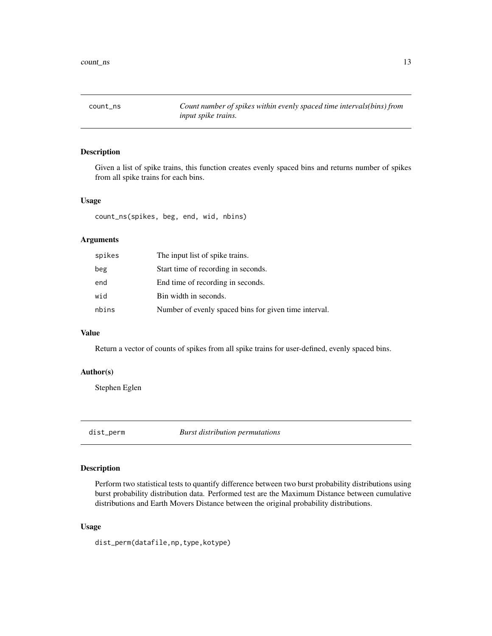<span id="page-12-0"></span>

Given a list of spike trains, this function creates evenly spaced bins and returns number of spikes from all spike trains for each bins.

#### Usage

count\_ns(spikes, beg, end, wid, nbins)

## Arguments

| spikes | The input list of spike trains.                       |
|--------|-------------------------------------------------------|
| beg    | Start time of recording in seconds.                   |
| end    | End time of recording in seconds.                     |
| wid    | Bin width in seconds.                                 |
| nbins  | Number of evenly spaced bins for given time interval. |

#### Value

Return a vector of counts of spikes from all spike trains for user-defined, evenly spaced bins.

#### Author(s)

Stephen Eglen

dist\_perm *Burst distribution permutations*

## Description

Perform two statistical tests to quantify difference between two burst probability distributions using burst probability distribution data. Performed test are the Maximum Distance between cumulative distributions and Earth Movers Distance between the original probability distributions.

## Usage

dist\_perm(datafile,np,type,kotype)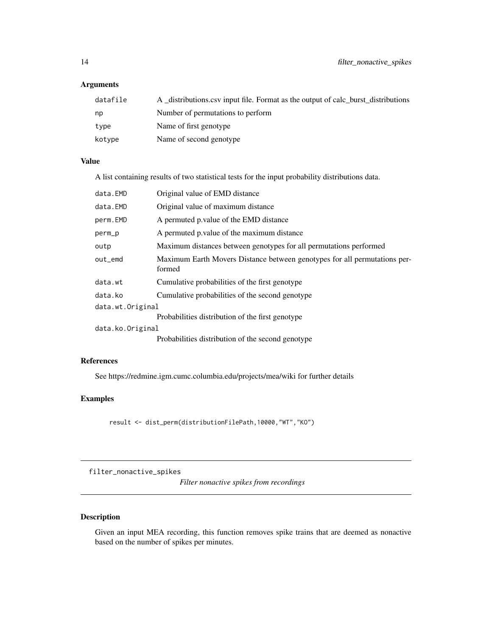## <span id="page-13-0"></span>Arguments

| datafile | A distributions csv input file. Format as the output of calc burst distributions |
|----------|----------------------------------------------------------------------------------|
| np       | Number of permutations to perform                                                |
| type     | Name of first genotype                                                           |
| kotype   | Name of second genotype                                                          |

## Value

A list containing results of two statistical tests for the input probability distributions data.

| data.EMD         | Original value of EMD distance                                                      |
|------------------|-------------------------------------------------------------------------------------|
| data.EMD         | Original value of maximum distance                                                  |
| perm.EMD         | A permuted p. value of the EMD distance                                             |
| perm_p           | A permuted p value of the maximum distance                                          |
| outp             | Maximum distances between genotypes for all permutations performed                  |
| out_emd          | Maximum Earth Movers Distance between genotypes for all permutations per-<br>formed |
| data.wt          | Cumulative probabilities of the first genotype                                      |
| data.ko          | Cumulative probabilities of the second genotype                                     |
| data.wt.Original |                                                                                     |
|                  | Probabilities distribution of the first genotype                                    |
| data.ko.Original |                                                                                     |
|                  | Probabilities distribution of the second genotype                                   |

## References

See https://redmine.igm.cumc.columbia.edu/projects/mea/wiki for further details

## Examples

result <- dist\_perm(distributionFilePath,10000,"WT","KO")

filter\_nonactive\_spikes

*Filter nonactive spikes from recordings*

## Description

Given an input MEA recording, this function removes spike trains that are deemed as nonactive based on the number of spikes per minutes.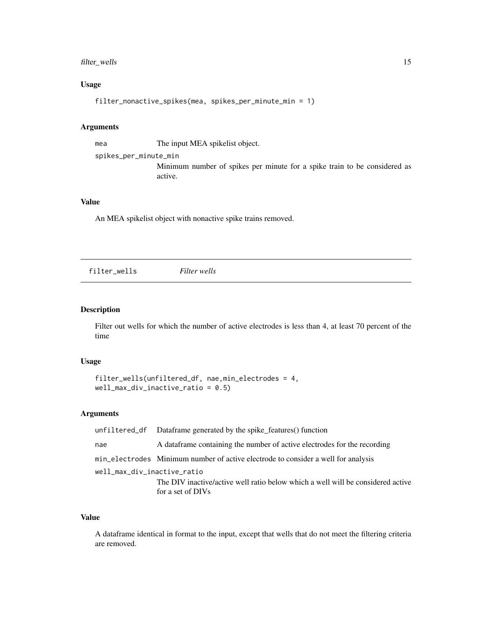## <span id="page-14-0"></span>filter\_wells 15

## Usage

filter\_nonactive\_spikes(mea, spikes\_per\_minute\_min = 1)

#### Arguments

mea The input MEA spikelist object.

spikes\_per\_minute\_min

Minimum number of spikes per minute for a spike train to be considered as active.

#### Value

An MEA spikelist object with nonactive spike trains removed.

filter\_wells *Filter wells*

## Description

Filter out wells for which the number of active electrodes is less than 4, at least 70 percent of the time

### Usage

```
filter_wells(unfiltered_df, nae,min_electrodes = 4,
well_max_div_inactive_ratio = 0.5)
```
#### Arguments

|                             | unfiltered df Dataframe generated by the spike features() function                |
|-----------------------------|-----------------------------------------------------------------------------------|
| nae                         | A data frame containing the number of active electrodes for the recording         |
|                             | min_electrodes Minimum number of active electrode to consider a well for analysis |
| well_max_div_inactive_ratio |                                                                                   |
|                             | The DIV inactive/active well ratio below which a well will be considered active   |
|                             | for a set of DIVs                                                                 |

## Value

A dataframe identical in format to the input, except that wells that do not meet the filtering criteria are removed.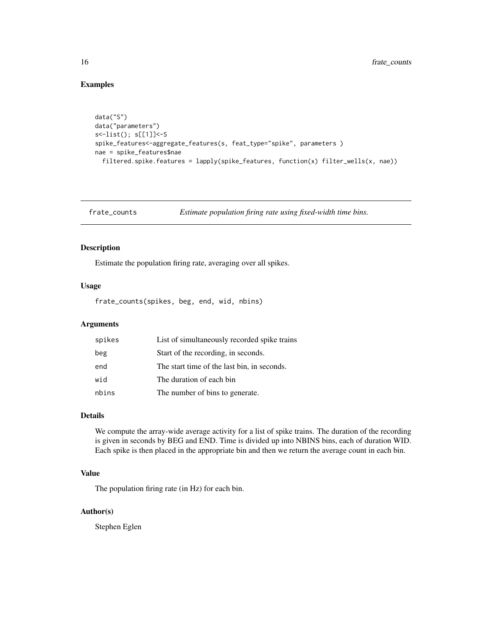## Examples

```
data("S")
data("parameters")
s<-list(); s[[1]]<-S
spike_features<-aggregate_features(s, feat_type="spike", parameters )
nae = spike_features$nae
  filtered.spike.features = lapply(spike_features, function(x) filter_wells(x, nae))
```
frate\_counts *Estimate population firing rate using fixed-width time bins.*

## Description

Estimate the population firing rate, averaging over all spikes.

#### Usage

frate\_counts(spikes, beg, end, wid, nbins)

#### Arguments

| spikes | List of simultaneously recorded spike trains |
|--------|----------------------------------------------|
| beg    | Start of the recording, in seconds.          |
| end    | The start time of the last bin, in seconds.  |
| wid    | The duration of each bin                     |
| nbins  | The number of bins to generate.              |

## Details

We compute the array-wide average activity for a list of spike trains. The duration of the recording is given in seconds by BEG and END. Time is divided up into NBINS bins, each of duration WID. Each spike is then placed in the appropriate bin and then we return the average count in each bin.

## Value

The population firing rate (in Hz) for each bin.

#### Author(s)

Stephen Eglen

<span id="page-15-0"></span>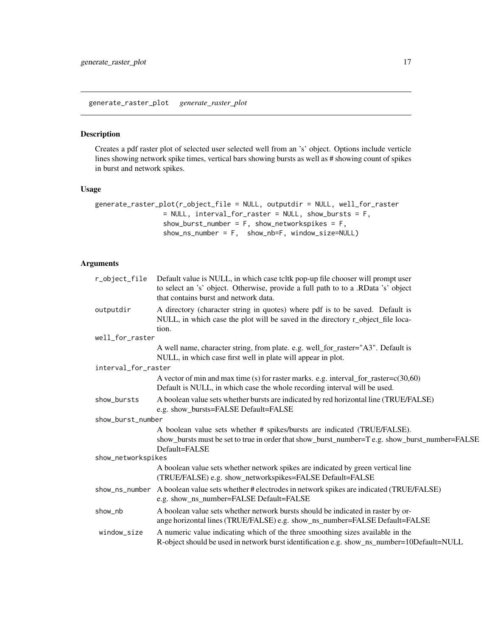<span id="page-16-0"></span>generate\_raster\_plot *generate\_raster\_plot*

#### Description

Creates a pdf raster plot of selected user selected well from an 's' object. Options include verticle lines showing network spike times, vertical bars showing bursts as well as # showing count of spikes in burst and network spikes.

## Usage

```
generate_raster_plot(r_object_file = NULL, outputdir = NULL, well_for_raster
                = NULL, interval_for_raster = NULL, show_bursts = F,
                 show_burst_number = F, show_networkspikes = F,
                 show_ns_number = F, show_nb=F, window_size=NULL)
```
## Arguments

| r_object_file       | Default value is NULL, in which case tcltk pop-up file chooser will prompt user<br>to select an 's' object. Otherwise, provide a full path to to a .RData 's' object<br>that contains burst and network data. |
|---------------------|---------------------------------------------------------------------------------------------------------------------------------------------------------------------------------------------------------------|
| outputdir           | A directory (character string in quotes) where pdf is to be saved. Default is<br>NULL, in which case the plot will be saved in the directory r_object_file loca-<br>tion.                                     |
| well_for_raster     |                                                                                                                                                                                                               |
|                     | A well name, character string, from plate. e.g. well_for_raster="A3". Default is<br>NULL, in which case first well in plate will appear in plot.                                                              |
| interval_for_raster |                                                                                                                                                                                                               |
|                     | A vector of min and max time (s) for raster marks. e.g. interval_for_raster= $c(30,60)$<br>Default is NULL, in which case the whole recording interval will be used.                                          |
| show_bursts         | A boolean value sets whether bursts are indicated by red horizontal line (TRUE/FALSE)<br>e.g. show_bursts=FALSE Default=FALSE                                                                                 |
| show_burst_number   |                                                                                                                                                                                                               |
|                     | A boolean value sets whether # spikes/bursts are indicated (TRUE/FALSE).<br>show_bursts must be set to true in order that show_burst_number=T e.g. show_burst_number=FALSE<br>Default=FALSE                   |
| show_networkspikes  |                                                                                                                                                                                                               |
|                     | A boolean value sets whether network spikes are indicated by green vertical line<br>(TRUE/FALSE) e.g. show_networkspikes=FALSE Default=FALSE                                                                  |
| show_ns_number      | A boolean value sets whether # electrodes in network spikes are indicated (TRUE/FALSE)<br>e.g. show_ns_number=FALSE Default=FALSE                                                                             |
| show_nb             | A boolean value sets whether network bursts should be indicated in raster by or-<br>ange horizontal lines (TRUE/FALSE) e.g. show_ns_number=FALSE Default=FALSE                                                |
| window_size         | A numeric value indicating which of the three smoothing sizes available in the<br>R-object should be used in network burst identification e.g. show_ns_number=10Default=NULL                                  |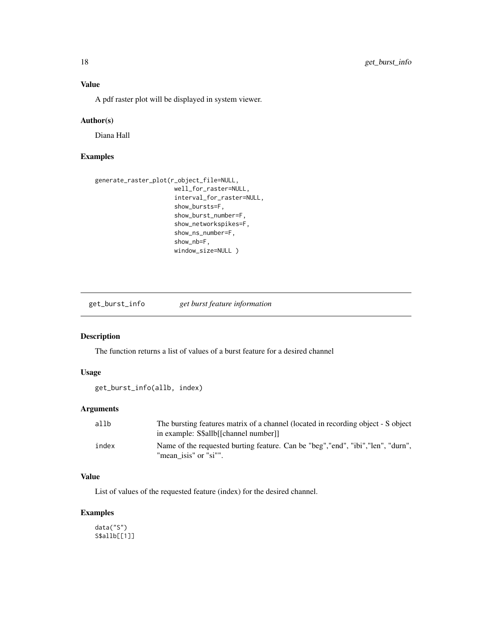## <span id="page-17-0"></span>Value

A pdf raster plot will be displayed in system viewer.

#### Author(s)

Diana Hall

## Examples

```
generate_raster_plot(r_object_file=NULL,
                      well_for_raster=NULL,
                      interval_for_raster=NULL,
                      show_bursts=F,
                      show_burst_number=F,
                      show_networkspikes=F,
                      show_ns_number=F,
                      show_nb=F,
                      window_size=NULL )
```
get\_burst\_info *get burst feature information*

## Description

The function returns a list of values of a burst feature for a desired channel

#### Usage

```
get_burst_info(allb, index)
```
#### Arguments

| allb  | The bursting features matrix of a channel (located in recording object - S object<br>in example: S\$allb[[channel number]] |
|-------|----------------------------------------------------------------------------------------------------------------------------|
| index | Name of the requested burting feature. Can be "beg", "end", "ibi", "len", "durn",<br>"mean isis" or "si"".                 |

## Value

List of values of the requested feature (index) for the desired channel.

## Examples

data("S") S\$allb[[1]]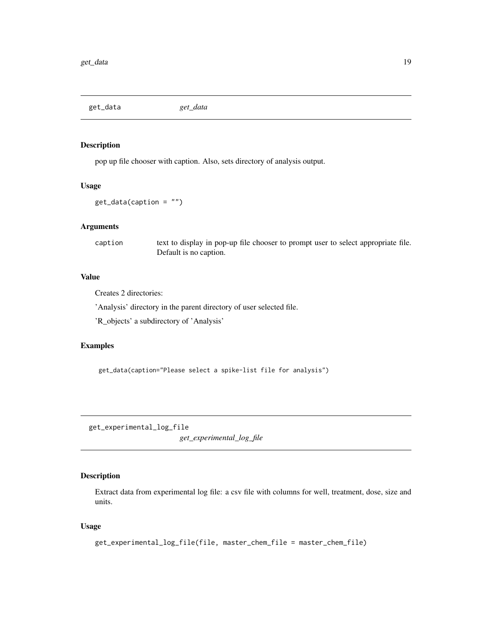<span id="page-18-0"></span>get\_data *get\_data*

## Description

pop up file chooser with caption. Also, sets directory of analysis output.

#### Usage

```
get_data(caption = "")
```
## Arguments

caption text to display in pop-up file chooser to prompt user to select appropriate file. Default is no caption.

### Value

Creates 2 directories:

'Analysis' directory in the parent directory of user selected file.

'R\_objects' a subdirectory of 'Analysis'

#### Examples

get\_data(caption="Please select a spike-list file for analysis")

get\_experimental\_log\_file *get\_experimental\_log\_file*

## Description

Extract data from experimental log file: a csv file with columns for well, treatment, dose, size and units.

## Usage

```
get_experimental_log_file(file, master_chem_file = master_chem_file)
```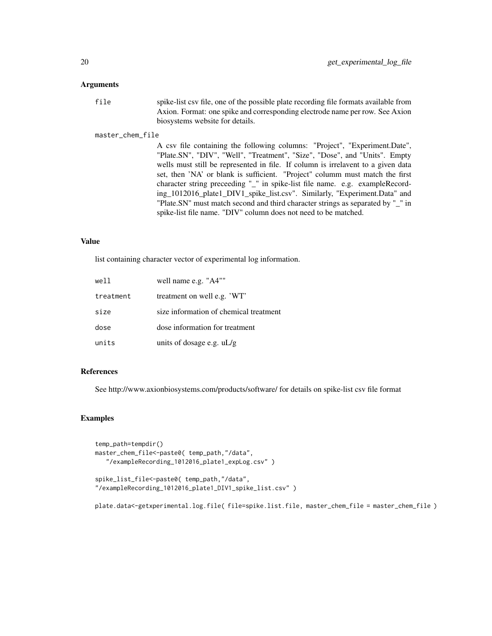#### **Arguments**

| file | spike-list csy file, one of the possible plate recording file formats available from |
|------|--------------------------------------------------------------------------------------|
|      |                                                                                      |
|      | Axion. Format: one spike and corresponding electrode name per row. See Axion         |
|      | biosystems website for details.                                                      |

#### master\_chem\_file

A csv file containing the following columns: "Project", "Experiment.Date", "Plate.SN", "DIV", "Well", "Treatment", "Size", "Dose", and "Units". Empty wells must still be represented in file. If column is irrelavent to a given data set, then 'NA' or blank is sufficient. "Project" columm must match the first character string preceeding "\_" in spike-list file name. e.g. exampleRecording\_1012016\_plate1\_DIV1\_spike\_list.csv". Similarly, "Experiment.Data" and "Plate.SN" must match second and third character strings as separated by "\_" in spike-list file name. "DIV" column does not need to be matched.

#### Value

list containing character vector of experimental log information.

| well      | well name e.g. "A4""                   |
|-----------|----------------------------------------|
| treatment | treatment on well e.g. 'WT'            |
| size      | size information of chemical treatment |
| dose      | dose information for treatment         |
| units     | units of dosage e.g. $uL/g$            |

## References

See http://www.axionbiosystems.com/products/software/ for details on spike-list csv file format

#### Examples

```
temp_path=tempdir()
master_chem_file<-paste0( temp_path,"/data",
   "/exampleRecording_1012016_plate1_expLog.csv" )
```

```
spike_list_file<-paste0( temp_path,"/data",
"/exampleRecording_1012016_plate1_DIV1_spike_list.csv" )
```
plate.data<-getxperimental.log.file( file=spike.list.file, master\_chem\_file = master\_chem\_file )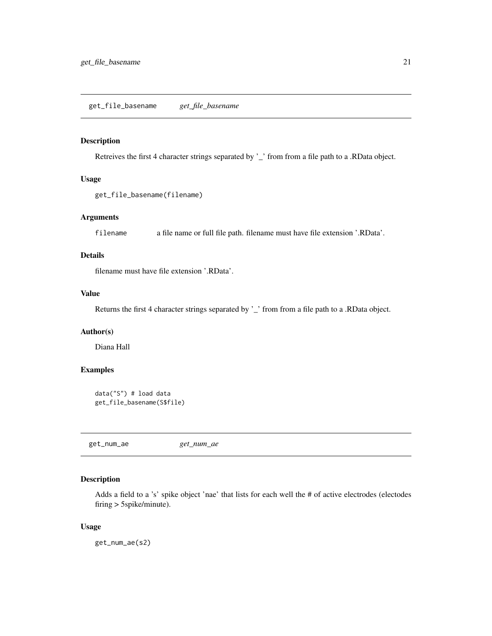<span id="page-20-0"></span>Retreives the first 4 character strings separated by '\_' from from a file path to a .RData object.

## Usage

```
get_file_basename(filename)
```
## Arguments

filename a file name or full file path. filename must have file extension '.RData'.

## Details

filename must have file extension '.RData'.

## Value

Returns the first 4 character strings separated by '\_' from from a file path to a .RData object.

### Author(s)

Diana Hall

## Examples

```
data("S") # load data
get_file_basename(S$file)
```
get\_num\_ae *get\_num\_ae*

#### Description

Adds a field to a 's' spike object 'nae' that lists for each well the # of active electrodes (electodes firing > 5spike/minute).

#### Usage

get\_num\_ae(s2)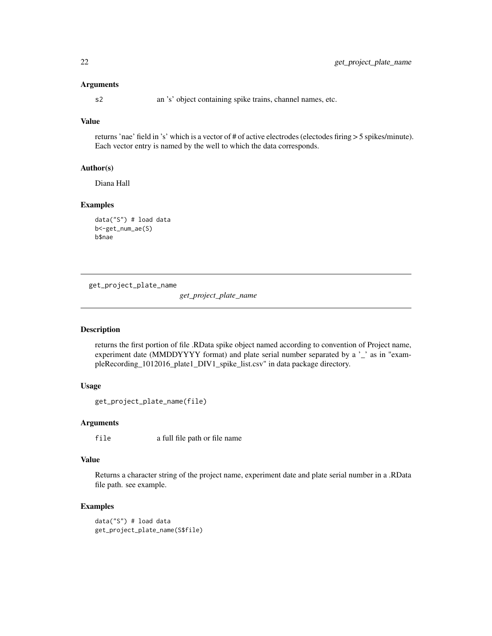#### <span id="page-21-0"></span>Arguments

s2 an 's' object containing spike trains, channel names, etc.

## Value

returns 'nae' field in 's' which is a vector of # of active electrodes (electodes firing > 5 spikes/minute). Each vector entry is named by the well to which the data corresponds.

## Author(s)

Diana Hall

#### Examples

```
data("S") # load data
b<-get_num_ae(S)
b$nae
```
get\_project\_plate\_name

*get\_project\_plate\_name*

## Description

returns the first portion of file .RData spike object named according to convention of Project name, experiment date (MMDDYYYY format) and plate serial number separated by a '\_' as in "exampleRecording\_1012016\_plate1\_DIV1\_spike\_list.csv" in data package directory.

#### Usage

```
get_project_plate_name(file)
```
## Arguments

file a full file path or file name

## Value

Returns a character string of the project name, experiment date and plate serial number in a .RData file path. see example.

#### Examples

data("S") # load data get\_project\_plate\_name(S\$file)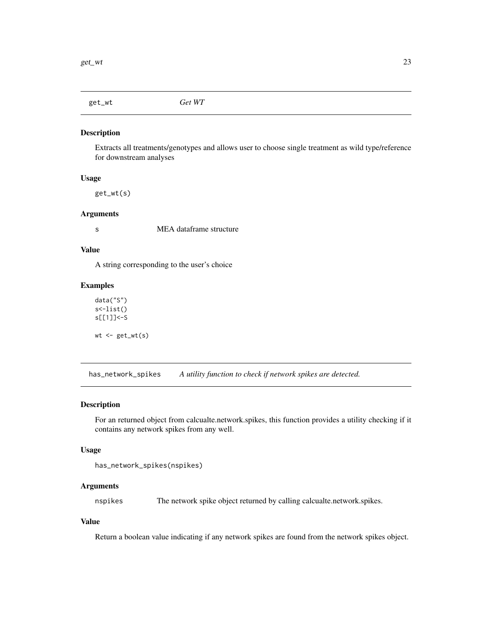<span id="page-22-0"></span>get\_wt *Get WT*

## Description

Extracts all treatments/genotypes and allows user to choose single treatment as wild type/reference for downstream analyses

#### Usage

get\_wt(s)

#### Arguments

s MEA dataframe structure

#### Value

A string corresponding to the user's choice

#### Examples

data("S") s<-list() s[[1]]<-S  $wt$  <-  $get_wt(s)$ 

has\_network\_spikes *A utility function to check if network spikes are detected.*

#### Description

For an returned object from calcualte.network.spikes, this function provides a utility checking if it contains any network spikes from any well.

## Usage

```
has_network_spikes(nspikes)
```
## Arguments

nspikes The network spike object returned by calling calcualte.network.spikes.

## Value

Return a boolean value indicating if any network spikes are found from the network spikes object.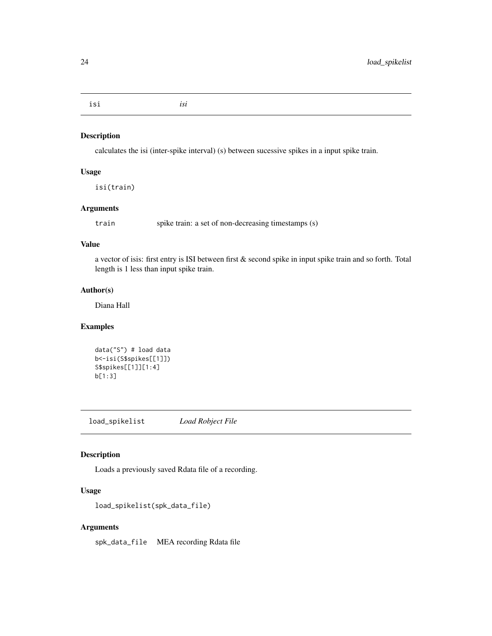<span id="page-23-0"></span>isi *isi*

#### Description

calculates the isi (inter-spike interval) (s) between sucessive spikes in a input spike train.

## Usage

isi(train)

## Arguments

train spike train: a set of non-decreasing timestamps (s)

## Value

a vector of isis: first entry is ISI between first & second spike in input spike train and so forth. Total length is 1 less than input spike train.

#### Author(s)

Diana Hall

## Examples

```
data("S") # load data
b<-isi(S$spikes[[1]])
S$spikes[[1]][1:4]
b[1:3]
```
load\_spikelist *Load Robject File*

## Description

Loads a previously saved Rdata file of a recording.

## Usage

```
load_spikelist(spk_data_file)
```
## Arguments

spk\_data\_file MEA recording Rdata file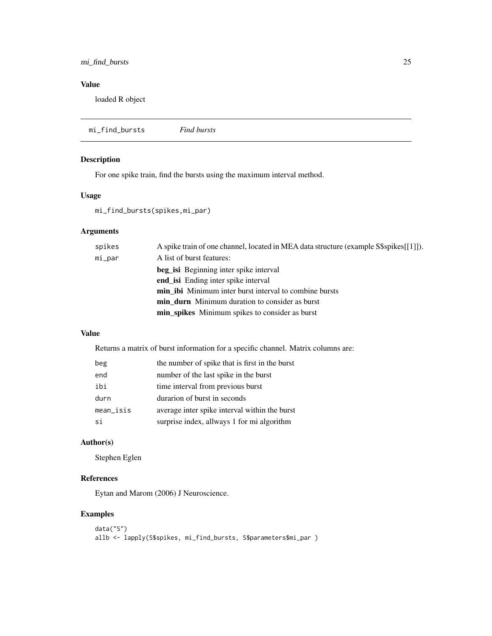## <span id="page-24-0"></span>mi\_find\_bursts 25

## Value

loaded R object

| mi_find_bursts<br><b>Find bursts</b> |  |
|--------------------------------------|--|
|--------------------------------------|--|

## Description

For one spike train, find the bursts using the maximum interval method.

## Usage

mi\_find\_bursts(spikes,mi\_par)

## Arguments

| spikes | A spike train of one channel, located in MEA data structure (example S\$spikes[[1]]). |
|--------|---------------------------------------------------------------------------------------|
| mi_par | A list of burst features:                                                             |
|        | <b>beg is i</b> Beginning inter spike interval                                        |
|        | end is Ending inter spike interval                                                    |
|        | <b>min ibi</b> Minimum inter burst interval to combine bursts                         |
|        | <b>min durn</b> Minimum duration to consider as burst                                 |
|        | min_spikes Minimum spikes to consider as burst                                        |

## Value

Returns a matrix of burst information for a specific channel. Matrix columns are:

| beg       | the number of spike that is first in the burst |
|-----------|------------------------------------------------|
| end       | number of the last spike in the burst          |
| ibi       | time interval from previous burst              |
| durn      | durarion of burst in seconds                   |
| mean_isis | average inter spike interval within the burst  |
| si        | surprise index, allways 1 for mi algorithm     |

## Author(s)

Stephen Eglen

## References

Eytan and Marom (2006) J Neuroscience.

## Examples

```
data("S")
allb <- lapply(S$spikes, mi_find_bursts, S$parameters$mi_par )
```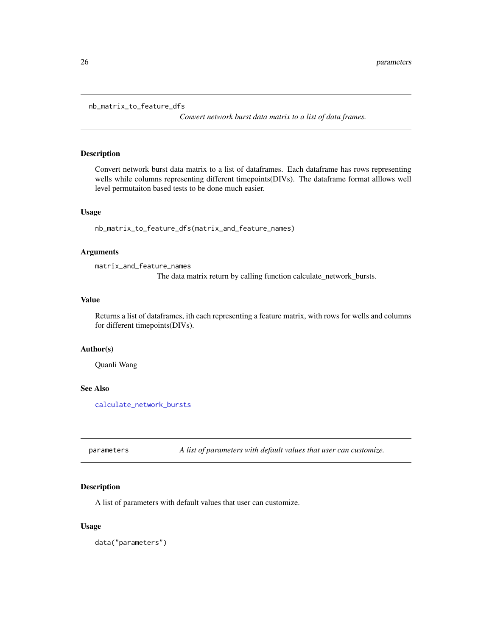```
nb_matrix_to_feature_dfs
```
*Convert network burst data matrix to a list of data frames.*

## Description

Convert network burst data matrix to a list of dataframes. Each dataframe has rows representing wells while columns representing different timepoints(DIVs). The dataframe format alllows well level permutaiton based tests to be done much easier.

## Usage

nb\_matrix\_to\_feature\_dfs(matrix\_and\_feature\_names)

## Arguments

matrix\_and\_feature\_names

The data matrix return by calling function calculate\_network\_bursts.

#### Value

Returns a list of dataframes, ith each representing a feature matrix, with rows for wells and columns for different timepoints(DIVs).

## Author(s)

Quanli Wang

## See Also

[calculate\\_network\\_bursts](#page-5-1)

parameters *A list of parameters with default values that user can customize.*

#### Description

A list of parameters with default values that user can customize.

#### Usage

data("parameters")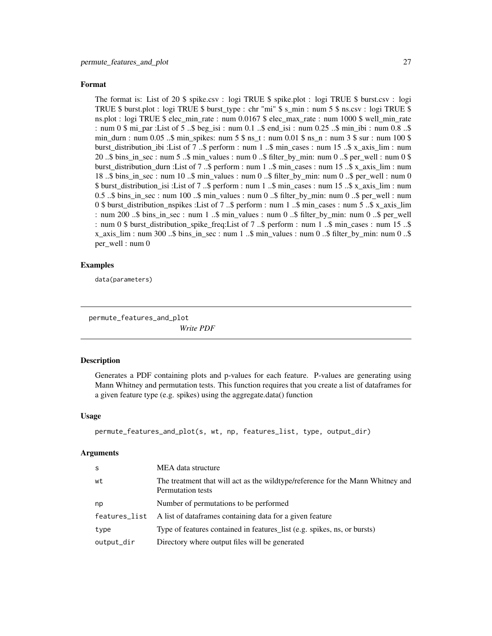#### <span id="page-26-0"></span>Format

The format is: List of 20 \$ spike.csv : logi TRUE \$ spike.plot : logi TRUE \$ burst.csv : logi TRUE \$ burst.plot : logi TRUE \$ burst\_type : chr "mi" \$ s\_min : num 5 \$ ns.csv : logi TRUE \$ ns.plot : logi TRUE \$ elec\_min\_rate : num 0.0167 \$ elec\_max\_rate : num 1000 \$ well\_min\_rate : num 0 \$ mi\_par :List of 5 ..\$ beg\_isi : num 0.1 ..\$ end\_isi : num 0.25 ..\$ min\_ibi : num 0.8 ..\$ min\_durn : num 0.05 ..\$ min\_spikes: num 5 \$ ns\_t : num 0.01 \$ ns\_n : num 3 \$ sur : num 100 \$ burst\_distribution\_ibi :List of 7 ..\$ perform : num 1 ..\$ min\_cases : num 15 ..\$ x\_axis\_lim : num 20 ..\$ bins\_in\_sec : num 5 ..\$ min\_values : num 0 ..\$ filter\_by\_min: num 0 ..\$ per\_well : num 0 \$ burst\_distribution\_durn :List of 7 ..\$ perform : num 1 ..\$ min\_cases : num 15 ..\$ x\_axis\_lim : num 18 ..\$ bins\_in\_sec : num 10 ..\$ min\_values : num 0 ..\$ filter\_by\_min: num 0 ..\$ per\_well : num 0 \$ burst\_distribution\_isi :List of 7 ..\$ perform : num 1 ..\$ min\_cases : num 15 ..\$ x\_axis\_lim : num 0.5 ..\$ bins\_in\_sec : num 100 ..\$ min\_values : num 0 ..\$ filter\_by\_min: num 0 ..\$ per\_well : num 0 \$ burst distribution nspikes :List of 7 ..\$ perform : num 1 ..\$ min cases : num 5 ..\$ x axis lim : num 200 ..\$ bins\_in\_sec : num 1 ..\$ min\_values : num 0 ..\$ filter\_by\_min: num 0 ..\$ per\_well : num 0 \$ burst\_distribution\_spike\_freq:List of 7 ..\$ perform : num 1 ..\$ min\_cases : num 15 ..\$ x\_axis\_lim : num 300 ..\$ bins\_in\_sec : num 1 ..\$ min\_values : num 0 ..\$ filter\_by\_min: num 0 ..\$ per\_well : num 0

## Examples

data(parameters)

permute\_features\_and\_plot

*Write PDF*

#### **Description**

Generates a PDF containing plots and p-values for each feature. P-values are generating using Mann Whitney and permutation tests. This function requires that you create a list of dataframes for a given feature type (e.g. spikes) using the aggregate.data() function

#### Usage

```
permute_features_and_plot(s, wt, np, features_list, type, output_dir)
```
#### Arguments

| <sub>S</sub>  | MEA data structure                                                                                  |
|---------------|-----------------------------------------------------------------------------------------------------|
| wt            | The treatment that will act as the wildtype/reference for the Mann Whitney and<br>Permutation tests |
| np            | Number of permutations to be performed                                                              |
| features_list | A list of dataframes containing data for a given feature                                            |
| type          | Type of features contained in features_list (e.g. spikes, ns, or bursts)                            |
| output_dir    | Directory where output files will be generated                                                      |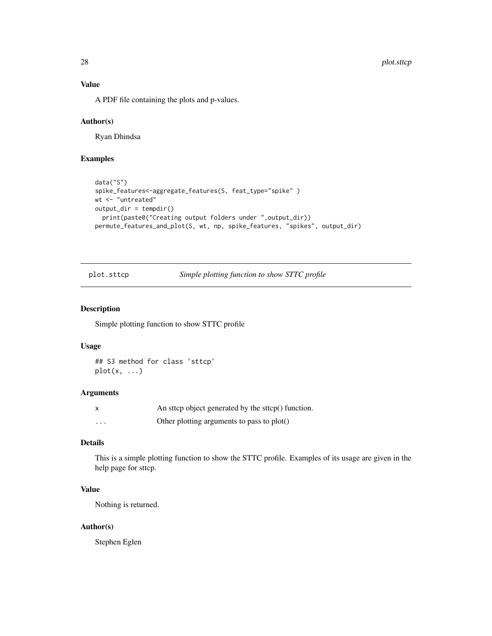## <span id="page-27-0"></span>Value

A PDF file containing the plots and p-values.

#### Author(s)

Ryan Dhindsa

## Examples

```
data("S")
spike_features<-aggregate_features(S, feat_type="spike" )
wt <- "untreated"
output_dir = tempdir()
  print(paste0("Creating output folders under ",output_dir))
permute_features_and_plot(S, wt, np, spike_features, "spikes", output_dir)
```
plot.sttcp *Simple plotting function to show STTC profile*

## Description

Simple plotting function to show STTC profile

#### Usage

## S3 method for class 'sttcp'  $plot(x, \ldots)$ 

## Arguments

|          | An sttcp object generated by the sttcp() function. |
|----------|----------------------------------------------------|
| $\cdots$ | Other plotting arguments to pass to plot()         |

## Details

This is a simple plotting function to show the STTC profile. Examples of its usage are given in the help page for sttcp.

## Value

Nothing is returned.

#### Author(s)

Stephen Eglen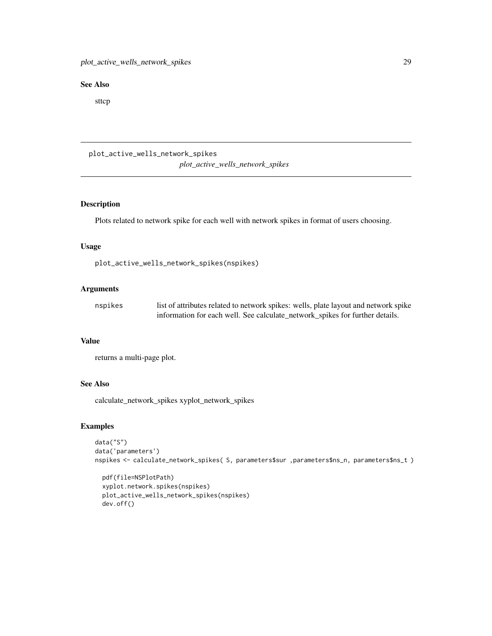#### <span id="page-28-0"></span>See Also

sttcp

plot\_active\_wells\_network\_spikes *plot\_active\_wells\_network\_spikes*

## Description

Plots related to network spike for each well with network spikes in format of users choosing.

### Usage

plot\_active\_wells\_network\_spikes(nspikes)

## Arguments

| nspikes | list of attributes related to network spikes: wells, plate layout and network spike |
|---------|-------------------------------------------------------------------------------------|
|         | information for each well. See calculate_network_spikes for further details.        |

### Value

returns a multi-page plot.

## See Also

calculate\_network\_spikes xyplot\_network\_spikes

## Examples

```
data("S")
data('parameters')
nspikes <- calculate_network_spikes( S, parameters$sur ,parameters$ns_n, parameters$ns_t )
```
pdf(file=NSPlotPath) xyplot.network.spikes(nspikes) plot\_active\_wells\_network\_spikes(nspikes) dev.off()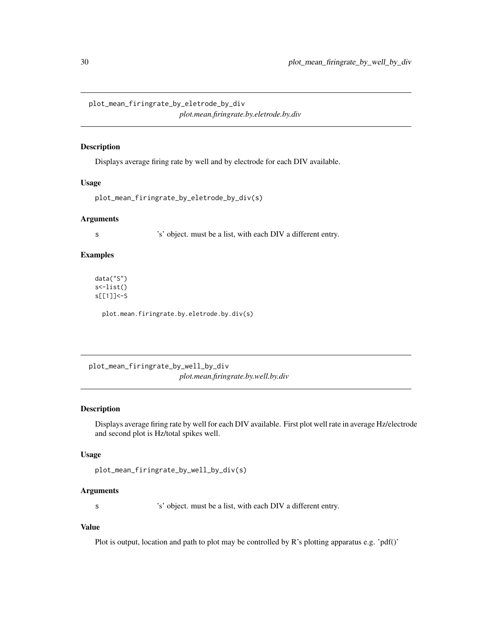<span id="page-29-0"></span>plot\_mean\_firingrate\_by\_eletrode\_by\_div *plot.mean.firingrate.by.eletrode.by.div*

## Description

Displays average firing rate by well and by electrode for each DIV available.

#### Usage

```
plot_mean_firingrate_by_eletrode_by_div(s)
```
#### Arguments

s 's' object. must be a list, with each DIV a different entry.

#### Examples

data("S") s<-list() s[[1]]<-S

plot.mean.firingrate.by.eletrode.by.div(s)

plot\_mean\_firingrate\_by\_well\_by\_div *plot.mean.firingrate.by.well.by.div*

#### Description

Displays average firing rate by well for each DIV available. First plot well rate in average Hz/electrode and second plot is Hz/total spikes well.

## Usage

```
plot_mean_firingrate_by_well_by_div(s)
```
## Arguments

s 's' object. must be a list, with each DIV a different entry.

## Value

Plot is output, location and path to plot may be controlled by R's plotting apparatus e.g. 'pdf()'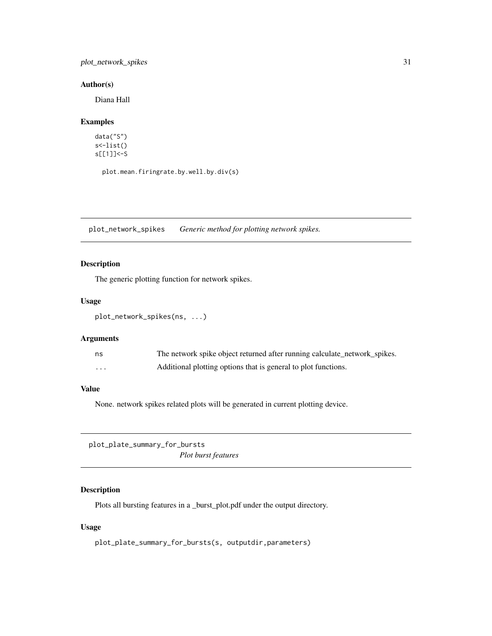## <span id="page-30-0"></span>plot\_network\_spikes 31

## Author(s)

Diana Hall

## Examples

data("S") s<-list() s[[1]]<-S

plot.mean.firingrate.by.well.by.div(s)

plot\_network\_spikes *Generic method for plotting network spikes.*

## Description

The generic plotting function for network spikes.

## Usage

plot\_network\_spikes(ns, ...)

#### Arguments

| ns       | The network spike object returned after running calculate_network_spikes. |
|----------|---------------------------------------------------------------------------|
| $\cdots$ | Additional plotting options that is general to plot functions.            |

## Value

None. network spikes related plots will be generated in current plotting device.

plot\_plate\_summary\_for\_bursts *Plot burst features*

## Description

Plots all bursting features in a \_burst\_plot.pdf under the output directory.

## Usage

plot\_plate\_summary\_for\_bursts(s, outputdir,parameters)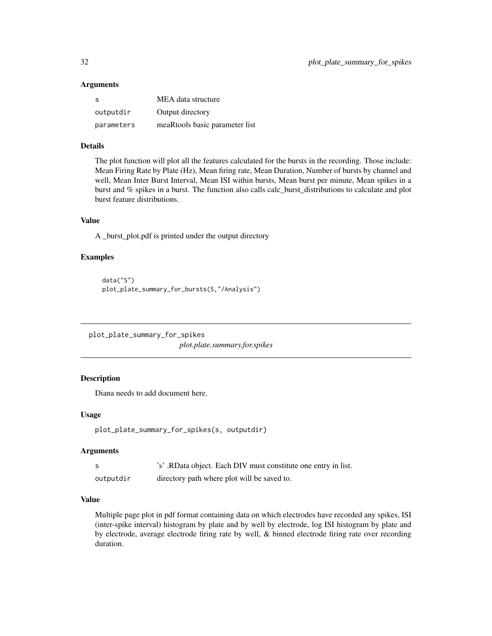#### <span id="page-31-0"></span>**Arguments**

| - S        | MEA data structure             |
|------------|--------------------------------|
| outputdir  | Output directory               |
| parameters | meaRtools basic parameter list |

#### Details

The plot function will plot all the features calculated for the bursts in the recording. Those include: Mean Firing Rate by Plate (Hz), Mean firing rate, Mean Duration, Number of bursts by channel and well, Mean Inter Burst Interval, Mean ISI within bursts, Mean burst per minute, Mean spikes in a burst and % spikes in a burst. The function also calls calc\_burst\_distributions to calculate and plot burst feature distributions.

## Value

A \_burst\_plot.pdf is printed under the output directory

## Examples

```
data("S")
plot_plate_summary_for_bursts(S,"/Analysis")
```
plot\_plate\_summary\_for\_spikes *plot.plate.summary.for.spikes*

## Description

Diana needs to add document here.

## Usage

```
plot_plate_summary_for_spikes(s, outputdir)
```
#### Arguments

|           | 's'. RData object. Each DIV must constitute one entry in list. |
|-----------|----------------------------------------------------------------|
| outputdir | directory path where plot will be saved to.                    |

## Value

Multiple page plot in pdf format containing data on which electrodes have recorded any spikes, ISI (inter-spike interval) histogram by plate and by well by electrode, log ISI histogram by plate and by electrode, average electrode firing rate by well, & binned electrode firing rate over recording duration.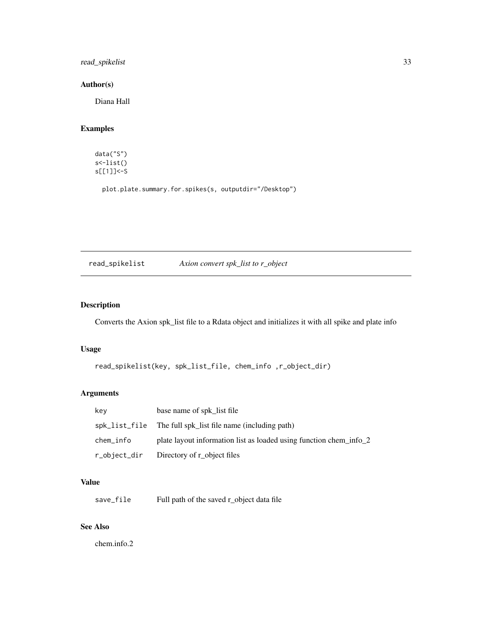## <span id="page-32-0"></span>read\_spikelist 33

## Author(s)

Diana Hall

## Examples

data("S") s<-list() s[[1]]<-S

plot.plate.summary.for.spikes(s, outputdir="/Desktop")

## read\_spikelist *Axion convert spk\_list to r\_object*

## Description

Converts the Axion spk\_list file to a Rdata object and initializes it with all spike and plate info

#### Usage

```
read_spikelist(key, spk_list_file, chem_info ,r_object_dir)
```
## Arguments

| key       | base name of spk_list file                                         |
|-----------|--------------------------------------------------------------------|
|           | spk_list_file The full spk list file name (including path)         |
| chem_info | plate layout information list as loaded using function chem_info_2 |
|           | r_object_dir Directory of r_object files                           |

## Value

save\_file Full path of the saved r\_object data file

## See Also

chem.info.2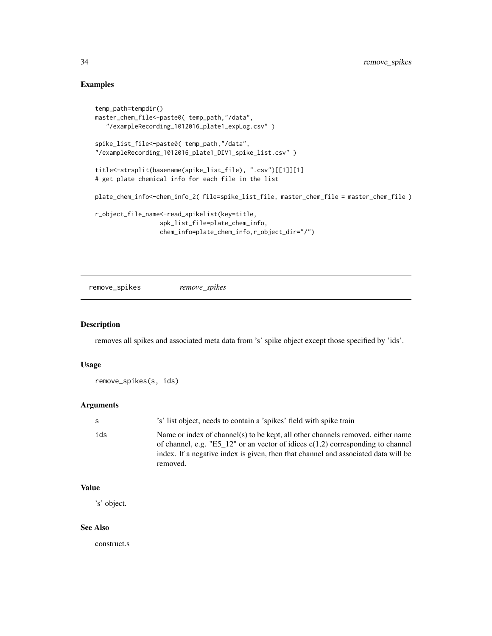## Examples

```
temp_path=tempdir()
master_chem_file<-paste0( temp_path,"/data",
   "/exampleRecording_1012016_plate1_expLog.csv" )
spike_list_file<-paste0( temp_path,"/data",
"/exampleRecording_1012016_plate1_DIV1_spike_list.csv" )
title<-strsplit(basename(spike_list_file), ".csv")[[1]][1]
# get plate chemical info for each file in the list
plate_chem_info<-chem_info_2( file=spike_list_file, master_chem_file = master_chem_file )
r_object_file_name<-read_spikelist(key=title,
                  spk_list_file=plate_chem_info,
                  chem_info=plate_chem_info,r_object_dir="/")
```
remove\_spikes *remove\_spikes*

#### Description

removes all spikes and associated meta data from 's' spike object except those specified by 'ids'.

#### Usage

remove\_spikes(s, ids)

#### Arguments

| S.  | 's' list object, needs to contain a 'spikes' field with spike train                                                                                                                                                                                                    |
|-----|------------------------------------------------------------------------------------------------------------------------------------------------------------------------------------------------------------------------------------------------------------------------|
| ids | Name or index of channel(s) to be kept, all other channels removed, either name<br>of channel, e.g. "E5_12" or an vector of idices $c(1,2)$ corresponding to channel<br>index. If a negative index is given, then that channel and associated data will be<br>removed. |

#### Value

's' object.

#### See Also

construct.s

<span id="page-33-0"></span>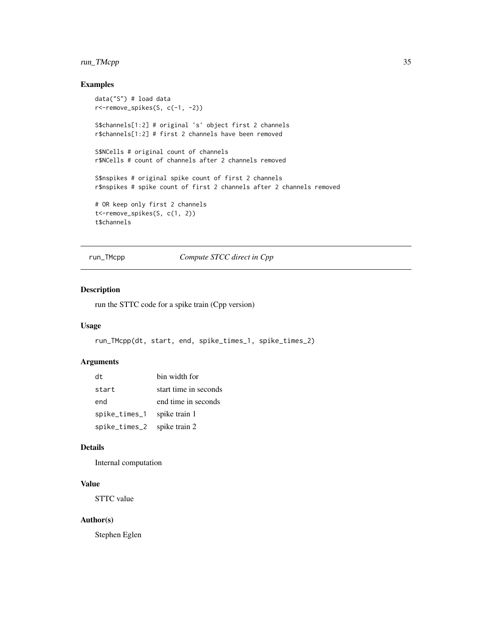## <span id="page-34-0"></span>run\_TMcpp 35

## Examples

```
data("S") # load data
r<-remove_spikes(S, c(-1, -2))
S$channels[1:2] # original 's' object first 2 channels
r$channels[1:2] # first 2 channels have been removed
S$NCells # original count of channels
r$NCells # count of channels after 2 channels removed
S$nspikes # original spike count of first 2 channels
r$nspikes # spike count of first 2 channels after 2 channels removed
# OR keep only first 2 channels
t<-remove_spikes(S, c(1, 2))
t$channels
```
run\_TMcpp *Compute STCC direct in Cpp*

## Description

run the STTC code for a spike train (Cpp version)

## Usage

```
run_TMcpp(dt, start, end, spike_times_1, spike_times_2)
```
### Arguments

| dt                          | bin width for         |
|-----------------------------|-----------------------|
| start                       | start time in seconds |
| end                         | end time in seconds   |
| spike_times_1 spike train 1 |                       |
| spike_times_2               | spike train 2         |

#### Details

Internal computation

## Value

STTC value

#### Author(s)

Stephen Eglen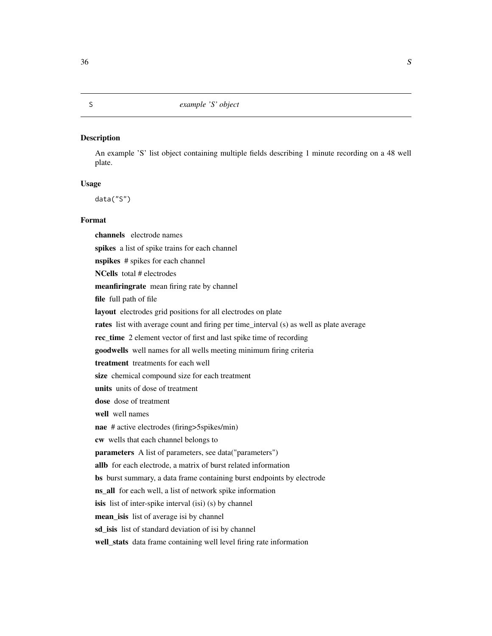<span id="page-35-0"></span>An example 'S' list object containing multiple fields describing 1 minute recording on a 48 well plate.

## Usage

data("S")

## Format

channels electrode names spikes a list of spike trains for each channel nspikes # spikes for each channel NCells total # electrodes meanfiringrate mean firing rate by channel file full path of file layout electrodes grid positions for all electrodes on plate rates list with average count and firing per time\_interval (s) as well as plate average rec\_time 2 element vector of first and last spike time of recording goodwells well names for all wells meeting minimum firing criteria treatment treatments for each well size chemical compound size for each treatment units units of dose of treatment dose dose of treatment well well names nae # active electrodes (firing>5spikes/min) cw wells that each channel belongs to parameters A list of parameters, see data("parameters") allb for each electrode, a matrix of burst related information bs burst summary, a data frame containing burst endpoints by electrode ns\_all for each well, a list of network spike information isis list of inter-spike interval (isi) (s) by channel mean\_isis list of average isi by channel sd\_isis list of standard deviation of isi by channel well\_stats data frame containing well level firing rate information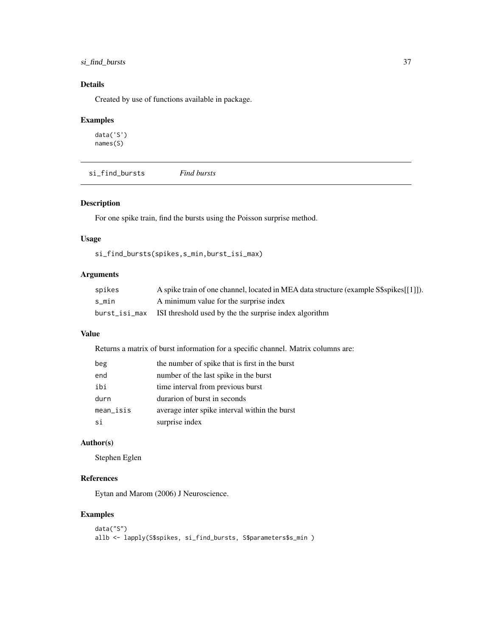## <span id="page-36-0"></span>si\_find\_bursts 37

## Details

Created by use of functions available in package.

## Examples

data('S') names(S)

si\_find\_bursts *Find bursts*

## Description

For one spike train, find the bursts using the Poisson surprise method.

## Usage

si\_find\_bursts(spikes,s\_min,burst\_isi\_max)

## Arguments

| spikes | A spike train of one channel, located in MEA data structure (example S\$spikes[[1]]). |
|--------|---------------------------------------------------------------------------------------|
| s min  | A minimum value for the surprise index                                                |
|        | burst_isi_max ISI threshold used by the the surprise index algorithm                  |

#### Value

Returns a matrix of burst information for a specific channel. Matrix columns are:

| beg         | the number of spike that is first in the burst |
|-------------|------------------------------------------------|
| end         | number of the last spike in the burst          |
| ibi         | time interval from previous burst              |
| durn        | durarion of burst in seconds                   |
| $mean$ isis | average inter spike interval within the burst  |
| si          | surprise index                                 |

## Author(s)

Stephen Eglen

## References

Eytan and Marom (2006) J Neuroscience.

## Examples

```
data("S")
allb <- lapply(S$spikes, si_find_bursts, S$parameters$s_min )
```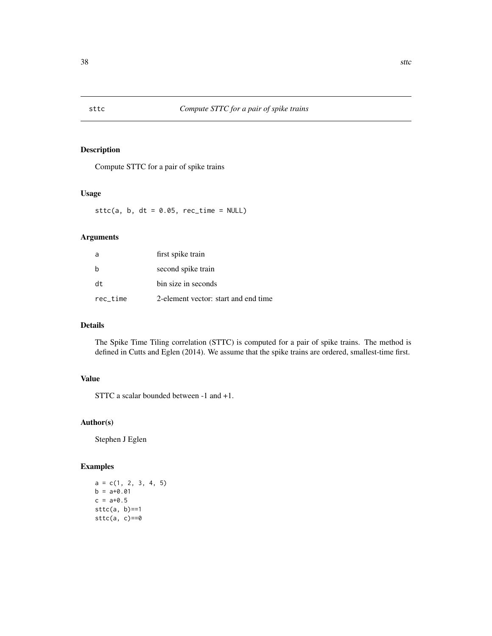<span id="page-37-0"></span>Compute STTC for a pair of spike trains

## Usage

sttc(a,  $b$ , dt = 0.05, rec\_time = NULL)

## Arguments

| a        | first spike train                    |
|----------|--------------------------------------|
| h        | second spike train                   |
| dt.      | bin size in seconds                  |
| rec time | 2-element vector: start and end time |

## Details

The Spike Time Tiling correlation (STTC) is computed for a pair of spike trains. The method is defined in Cutts and Eglen (2014). We assume that the spike trains are ordered, smallest-time first.

## Value

STTC a scalar bounded between -1 and +1.

## Author(s)

Stephen J Eglen

## Examples

 $a = c(1, 2, 3, 4, 5)$  $b = a + 0.01$  $c = a + 0.5$  $sttc(a, b) == 1$  $sttc(a, c) == 0$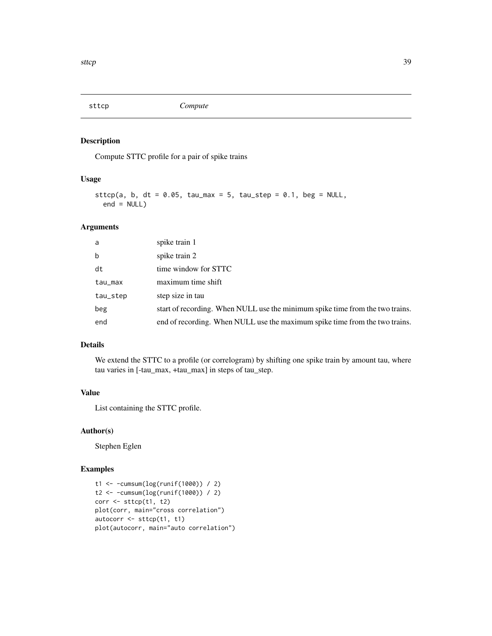<span id="page-38-0"></span>

Compute STTC profile for a pair of spike trains

## Usage

```
sttcp(a, b, dt = 0.05, tau_max = 5, tau_step = 0.1, beg = NULL,
 end = NULL)
```
### Arguments

| a        | spike train 1                                                                 |
|----------|-------------------------------------------------------------------------------|
| b        | spike train 2                                                                 |
| dt       | time window for STTC                                                          |
| tau_max  | maximum time shift                                                            |
| tau_step | step size in tau                                                              |
| beg      | start of recording. When NULL use the minimum spike time from the two trains. |
| end      | end of recording. When NULL use the maximum spike time from the two trains.   |

## Details

We extend the STTC to a profile (or correlogram) by shifting one spike train by amount tau, where tau varies in [-tau\_max, +tau\_max] in steps of tau\_step.

## Value

List containing the STTC profile.

### Author(s)

Stephen Eglen

## Examples

```
t1 <- -cumsum(log(runif(1000)) / 2)
t2 <- -cumsum(log(runif(1000)) / 2)
corr <- sttcp(t1, t2)
plot(corr, main="cross correlation")
autocorr <- sttcp(t1, t1)
plot(autocorr, main="auto correlation")
```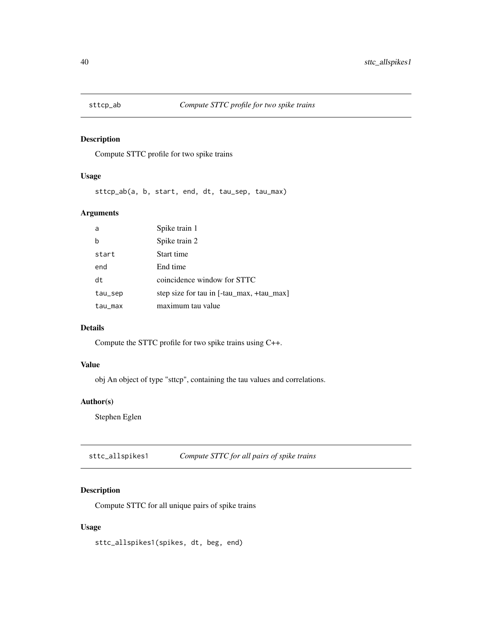<span id="page-39-0"></span>

Compute STTC profile for two spike trains

## Usage

sttcp\_ab(a, b, start, end, dt, tau\_sep, tau\_max)

## Arguments

| a       | Spike train 1                             |
|---------|-------------------------------------------|
| b       | Spike train 2                             |
| start   | Start time                                |
| end     | End time                                  |
| dt      | coincidence window for STTC               |
| tau_sep | step size for tau in [-tau_max, +tau_max] |
| tau_max | maximum tau value                         |

## Details

Compute the STTC profile for two spike trains using C++.

## Value

obj An object of type "sttcp", containing the tau values and correlations.

## Author(s)

Stephen Eglen

sttc\_allspikes1 *Compute STTC for all pairs of spike trains*

## Description

Compute STTC for all unique pairs of spike trains

#### Usage

sttc\_allspikes1(spikes, dt, beg, end)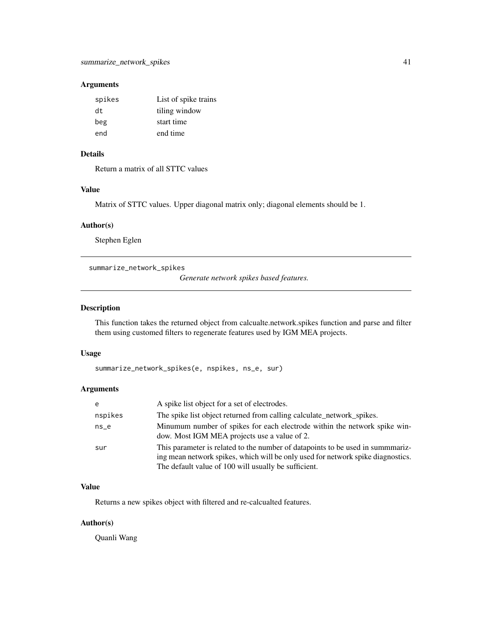## <span id="page-40-0"></span>Arguments

| spikes | List of spike trains |
|--------|----------------------|
| dt.    | tiling window        |
| beg    | start time           |
| end    | end time             |

## Details

Return a matrix of all STTC values

## Value

Matrix of STTC values. Upper diagonal matrix only; diagonal elements should be 1.

## Author(s)

Stephen Eglen

summarize\_network\_spikes

*Generate network spikes based features.*

## Description

This function takes the returned object from calcualte.network.spikes function and parse and filter them using customed filters to regenerate features used by IGM MEA projects.

#### Usage

```
summarize_network_spikes(e, nspikes, ns_e, sur)
```
## Arguments

| e       | A spike list object for a set of electrodes.                                                                                                                                                                              |
|---------|---------------------------------------------------------------------------------------------------------------------------------------------------------------------------------------------------------------------------|
| nspikes | The spike list object returned from calling calculate_network_spikes.                                                                                                                                                     |
| $ns_e$  | Minumum number of spikes for each electrode within the network spike win-<br>dow. Most IGM MEA projects use a value of 2.                                                                                                 |
| sur     | This parameter is related to the number of datapoints to be used in summmariz-<br>ing mean network spikes, which will be only used for network spike diagnostics.<br>The default value of 100 will usually be sufficient. |

#### Value

Returns a new spikes object with filtered and re-calcualted features.

## Author(s)

Quanli Wang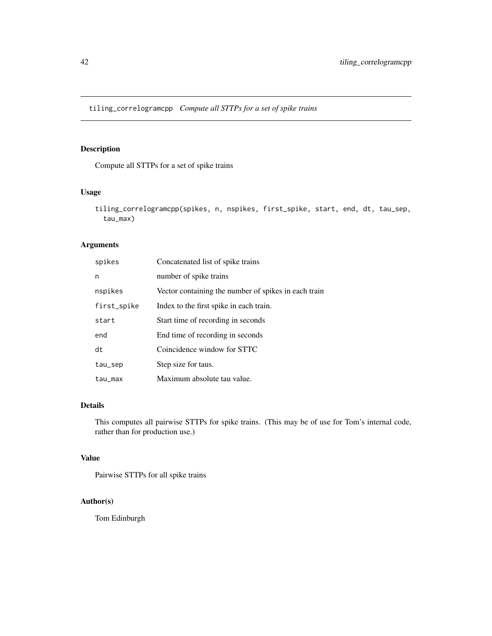<span id="page-41-0"></span>tiling\_correlogramcpp *Compute all STTPs for a set of spike trains*

## Description

Compute all STTPs for a set of spike trains

### Usage

```
tiling_correlogramcpp(spikes, n, nspikes, first_spike, start, end, dt, tau_sep,
  tau_max)
```
## Arguments

| spikes      | Concatenated list of spike trains                    |
|-------------|------------------------------------------------------|
| n           | number of spike trains                               |
| nspikes     | Vector containing the number of spikes in each train |
| first_spike | Index to the first spike in each train.              |
| start       | Start time of recording in seconds                   |
| end         | End time of recording in seconds                     |
| dt          | Coincidence window for STTC                          |
| tau_sep     | Step size for taus.                                  |
| tau_max     | Maximum absolute tau value.                          |

## Details

This computes all pairwise STTPs for spike trains. (This may be of use for Tom's internal code, rather than for production use.)

## Value

Pairwise STTPs for all spike trains

## Author(s)

Tom Edinburgh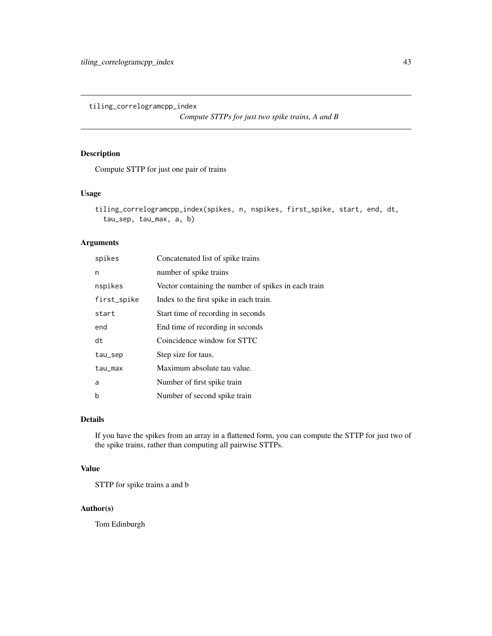<span id="page-42-0"></span>tiling\_correlogramcpp\_index

*Compute STTPs for just two spike trains, A and B*

## Description

Compute STTP for just one pair of trains

#### Usage

```
tiling_correlogramcpp_index(spikes, n, nspikes, first_spike, start, end, dt,
  tau_sep, tau_max, a, b)
```
## Arguments

| spikes      | Concatenated list of spike trains                    |
|-------------|------------------------------------------------------|
| n           | number of spike trains                               |
| nspikes     | Vector containing the number of spikes in each train |
| first_spike | Index to the first spike in each train.              |
| start       | Start time of recording in seconds                   |
| end         | End time of recording in seconds                     |
| dt          | Coincidence window for STTC                          |
| tau_sep     | Step size for taus.                                  |
| tau_max     | Maximum absolute tau value.                          |
| a           | Number of first spike train                          |
| b           | Number of second spike train                         |

#### Details

If you have the spikes from an array in a flattened form, you can compute the STTP for just two of the spike trains, rather than computing all pairwise STTPs.

#### Value

STTP for spike trains a and b

#### Author(s)

Tom Edinburgh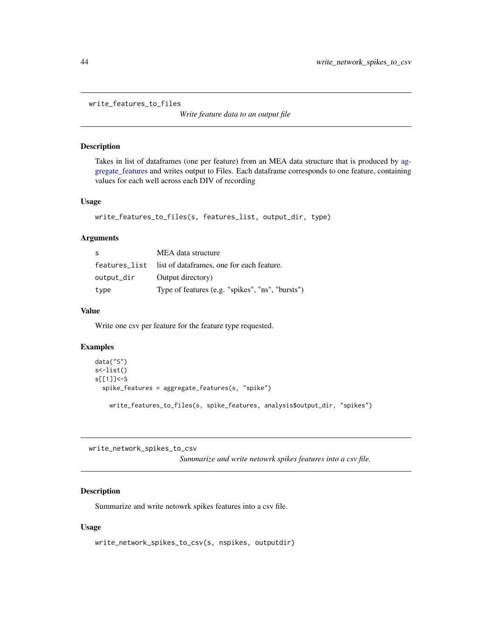<span id="page-43-0"></span>write\_features\_to\_files

*Write feature data to an output file*

## Description

Takes in list of dataframes (one per feature) from an MEA data structure that is produced by [ag](#page-2-1)[gregate\\_features](#page-2-1) and writes output to Files. Each dataframe corresponds to one feature, containing values for each well across each DIV of recording

#### Usage

```
write_features_to_files(s, features_list, output_dir, type)
```
### Arguments

| S          | MEA data structure                                      |
|------------|---------------------------------------------------------|
|            | features_list list of dataframes, one for each feature. |
| output_dir | Output directory)                                       |
| type       | Type of features (e.g. "spikes", "ns", "bursts")        |

## Value

Write one csv per feature for the feature type requested.

## Examples

```
data("S")
s<-list()
s[[1]]<-S
 spike_features = aggregate_features(s, "spike")
   write_features_to_files(s, spike_features, analysis$output_dir, "spikes")
```
write\_network\_spikes\_to\_csv

*Summarize and write netowrk spikes features into a csv file.*

## Description

Summarize and write netowrk spikes features into a csv file.

#### Usage

```
write_network_spikes_to_csv(s, nspikes, outputdir)
```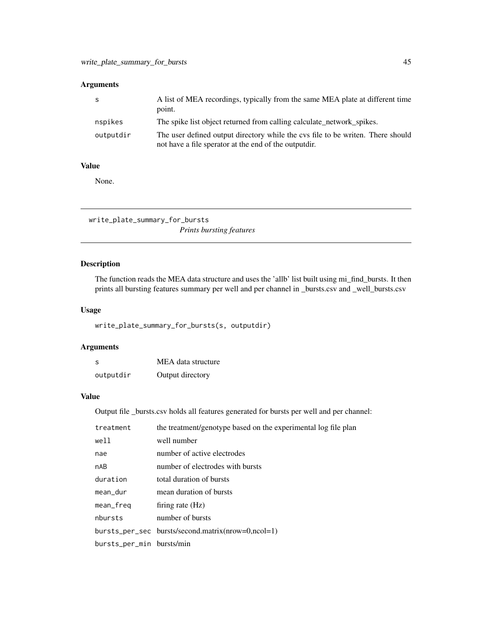## <span id="page-44-0"></span>Arguments

|           | A list of MEA recordings, typically from the same MEA plate at different time<br>point.                                                   |
|-----------|-------------------------------------------------------------------------------------------------------------------------------------------|
| nspikes   | The spike list object returned from calling calculate network spikes.                                                                     |
| outputdir | The user defined output directory while the cys file to be writen. There should<br>not have a file sperator at the end of the output dir. |

#### Value

None.

write\_plate\_summary\_for\_bursts

## *Prints bursting features*

## Description

The function reads the MEA data structure and uses the 'allb' list built using mi\_find\_bursts. It then prints all bursting features summary per well and per channel in \_bursts.csv and \_well\_bursts.csv

## Usage

write\_plate\_summary\_for\_bursts(s, outputdir)

## Arguments

| S         | MEA data structure |
|-----------|--------------------|
| outputdir | Output directory   |

#### Value

Output file \_bursts.csv holds all features generated for bursts per well and per channel:

| treatment                 | the treatment/genotype based on the experimental log file plan |
|---------------------------|----------------------------------------------------------------|
| well                      | well number                                                    |
| nae                       | number of active electrodes                                    |
| nAB                       | number of electrodes with bursts                               |
| duration                  | total duration of bursts                                       |
| mean_dur                  | mean duration of bursts                                        |
| mean_freq                 | firing rate $(Hz)$                                             |
| nbursts                   | number of bursts                                               |
|                           | bursts_per_sec bursts/second.matrix(nrow=0,ncol=1)             |
| bursts_per_min bursts/min |                                                                |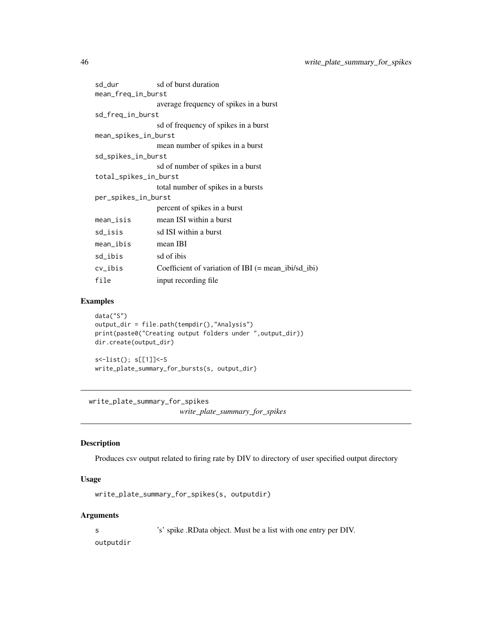<span id="page-45-0"></span>

| sd_dur                | sd of burst duration                                  |
|-----------------------|-------------------------------------------------------|
| mean_freq_in_burst    |                                                       |
|                       | average frequency of spikes in a burst                |
| sd_freq_in_burst      |                                                       |
|                       | sd of frequency of spikes in a burst                  |
| mean_spikes_in_burst  |                                                       |
|                       | mean number of spikes in a burst                      |
| sd_spikes_in_burst    |                                                       |
|                       | sd of number of spikes in a burst                     |
| total_spikes_in_burst |                                                       |
|                       | total number of spikes in a bursts                    |
| per_spikes_in_burst   |                                                       |
|                       | percent of spikes in a burst                          |
| mean_isis             | mean ISI within a burst                               |
| sd_isis               | sd ISI within a burst                                 |
| mean_ibis             | mean IBI                                              |
| sd_ibis               | sd of ibis                                            |
| $cv_$ ibis            | Coefficient of variation of IBI $(=$ mean_ibi/sd_ibi) |
| file                  | input recording file                                  |

#### Examples

```
data("S")
output_dir = file.path(tempdir(),"Analysis")
print(paste0("Creating output folders under ",output_dir))
dir.create(output_dir)
s<-list(); s[[1]]<-S
write_plate_summary_for_bursts(s, output_dir)
```
write\_plate\_summary\_for\_spikes

*write\_plate\_summary\_for\_spikes*

## Description

Produces csv output related to firing rate by DIV to directory of user specified output directory

## Usage

write\_plate\_summary\_for\_spikes(s, outputdir)

## Arguments

s 's' spike .RData object. Must be a list with one entry per DIV.

outputdir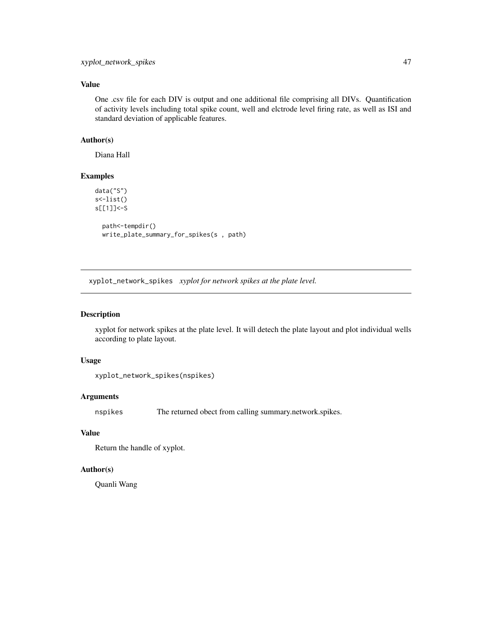## <span id="page-46-0"></span>Value

One .csv file for each DIV is output and one additional file comprising all DIVs. Quantification of activity levels including total spike count, well and elctrode level firing rate, as well as ISI and standard deviation of applicable features.

### Author(s)

Diana Hall

## Examples

```
data("S")
s<-list()
s[[1]]<-S
  path<-tempdir()
  write_plate_summary_for_spikes(s , path)
```
xyplot\_network\_spikes *xyplot for network spikes at the plate level.*

#### Description

xyplot for network spikes at the plate level. It will detech the plate layout and plot individual wells according to plate layout.

### Usage

```
xyplot_network_spikes(nspikes)
```
## Arguments

nspikes The returned obect from calling summary.network.spikes.

#### Value

Return the handle of xyplot.

#### Author(s)

Quanli Wang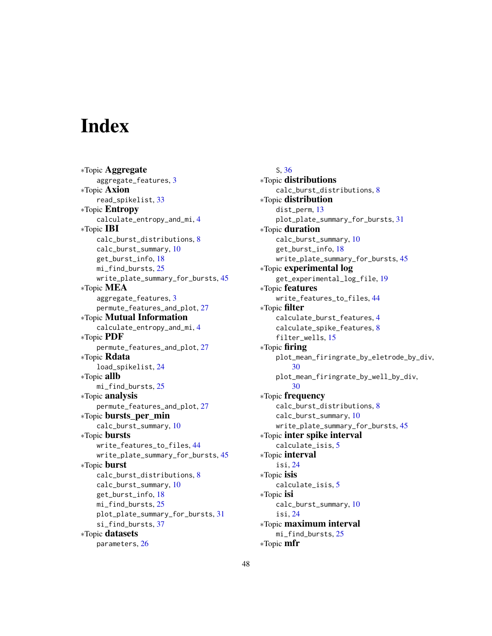# <span id="page-47-0"></span>**Index**

∗Topic Aggregate aggregate\_features, [3](#page-2-0) ∗Topic Axion read\_spikelist, [33](#page-32-0) ∗Topic Entropy calculate\_entropy\_and\_mi, [4](#page-3-0) ∗Topic IBI calc\_burst\_distributions, [8](#page-7-0) calc\_burst\_summary, [10](#page-9-0) get\_burst\_info, [18](#page-17-0) mi\_find\_bursts, [25](#page-24-0) write\_plate\_summary\_for\_bursts, [45](#page-44-0) ∗Topic MEA aggregate\_features, [3](#page-2-0) permute\_features\_and\_plot, [27](#page-26-0) ∗Topic Mutual Information calculate\_entropy\_and\_mi, [4](#page-3-0) ∗Topic PDF permute\_features\_and\_plot, [27](#page-26-0) ∗Topic Rdata load\_spikelist, [24](#page-23-0) ∗Topic allb mi\_find\_bursts, [25](#page-24-0) ∗Topic analysis permute\_features\_and\_plot, [27](#page-26-0) ∗Topic bursts\_per\_min calc\_burst\_summary, [10](#page-9-0) ∗Topic bursts write\_features\_to\_files, [44](#page-43-0) write\_plate\_summary\_for\_bursts, [45](#page-44-0) ∗Topic burst calc\_burst\_distributions, [8](#page-7-0) calc\_burst\_summary, [10](#page-9-0) get\_burst\_info, [18](#page-17-0) mi\_find\_bursts, [25](#page-24-0) plot\_plate\_summary\_for\_bursts, [31](#page-30-0) si\_find\_bursts, [37](#page-36-0) ∗Topic datasets parameters, [26](#page-25-0)

S, [36](#page-35-0) ∗Topic distributions calc\_burst\_distributions, [8](#page-7-0) ∗Topic distribution dist\_perm, [13](#page-12-0) plot\_plate\_summary\_for\_bursts, [31](#page-30-0) ∗Topic duration calc\_burst\_summary, [10](#page-9-0) get\_burst\_info, [18](#page-17-0) write\_plate\_summary\_for\_bursts, [45](#page-44-0) ∗Topic experimental log get\_experimental\_log\_file, [19](#page-18-0) ∗Topic features write\_features\_to\_files, [44](#page-43-0) ∗Topic filter calculate\_burst\_features, [4](#page-3-0) calculate\_spike\_features, [8](#page-7-0) filter\_wells, [15](#page-14-0) ∗Topic firing plot\_mean\_firingrate\_by\_eletrode\_by\_div, [30](#page-29-0) plot\_mean\_firingrate\_by\_well\_by\_div, [30](#page-29-0) ∗Topic frequency calc\_burst\_distributions, [8](#page-7-0) calc\_burst\_summary, [10](#page-9-0) write\_plate\_summary\_for\_bursts, [45](#page-44-0) ∗Topic inter spike interval calculate\_isis, [5](#page-4-0) ∗Topic interval isi, [24](#page-23-0) ∗Topic isis calculate\_isis, [5](#page-4-0) ∗Topic isi calc\_burst\_summary, [10](#page-9-0) isi, [24](#page-23-0) ∗Topic maximum interval mi\_find\_bursts, [25](#page-24-0) ∗Topic mfr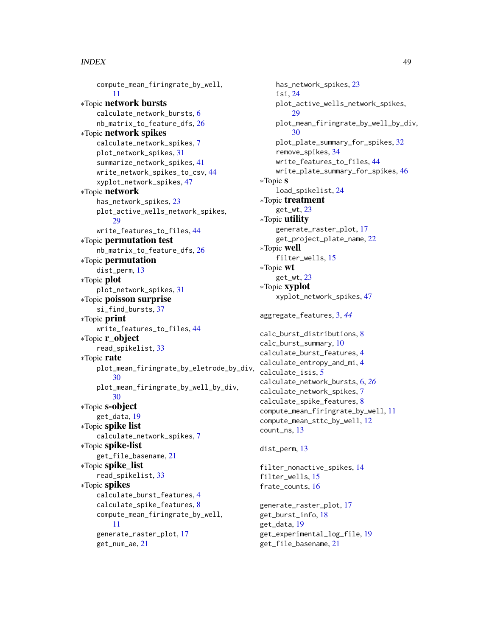#### INDEX 49

compute\_mean\_firingrate\_by\_well, [11](#page-10-0) ∗Topic network bursts calculate\_network\_bursts, [6](#page-5-0) nb\_matrix\_to\_feature\_dfs, [26](#page-25-0) ∗Topic network spikes calculate\_network\_spikes, [7](#page-6-0) plot\_network\_spikes, [31](#page-30-0) summarize\_network\_spikes, [41](#page-40-0) write\_network\_spikes\_to\_csv, [44](#page-43-0) xyplot\_network\_spikes, [47](#page-46-0) ∗Topic network has\_network\_spikes, [23](#page-22-0) plot\_active\_wells\_network\_spikes,  $29$ write\_features\_to\_files, [44](#page-43-0) ∗Topic permutation test nb\_matrix\_to\_feature\_dfs, [26](#page-25-0) ∗Topic permutation dist\_perm, [13](#page-12-0) ∗Topic plot plot\_network\_spikes, [31](#page-30-0) ∗Topic poisson surprise si\_find\_bursts, [37](#page-36-0) ∗Topic print write\_features\_to\_files, [44](#page-43-0) ∗Topic r\_object read\_spikelist, [33](#page-32-0) ∗Topic rate plot\_mean\_firingrate\_by\_eletrode\_by\_div, [30](#page-29-0) plot\_mean\_firingrate\_by\_well\_by\_div, [30](#page-29-0) ∗Topic s-object get\_data, [19](#page-18-0) ∗Topic spike list calculate\_network\_spikes, [7](#page-6-0) ∗Topic spike-list get\_file\_basename, [21](#page-20-0) ∗Topic spike\_list read\_spikelist, [33](#page-32-0) ∗Topic spikes calculate\_burst\_features, [4](#page-3-0) calculate\_spike\_features, [8](#page-7-0) compute\_mean\_firingrate\_by\_well, [11](#page-10-0) generate\_raster\_plot, [17](#page-16-0) get\_num\_ae, [21](#page-20-0)

has\_network\_spikes, [23](#page-22-0) isi, [24](#page-23-0) plot\_active\_wells\_network\_spikes, [29](#page-28-0) plot\_mean\_firingrate\_by\_well\_by\_div, [30](#page-29-0) plot\_plate\_summary\_for\_spikes, [32](#page-31-0) remove\_spikes, [34](#page-33-0) write\_features\_to\_files, [44](#page-43-0) write\_plate\_summary\_for\_spikes, [46](#page-45-0) ∗Topic s load\_spikelist, [24](#page-23-0) ∗Topic treatment get\_wt, [23](#page-22-0) ∗Topic utility generate\_raster\_plot, [17](#page-16-0) get\_project\_plate\_name, [22](#page-21-0) ∗Topic well filter\_wells, [15](#page-14-0) ∗Topic wt get\_wt, [23](#page-22-0) ∗Topic xyplot xyplot\_network\_spikes, [47](#page-46-0) aggregate\_features, [3,](#page-2-0) *[44](#page-43-0)* calc\_burst\_distributions, [8](#page-7-0) calc\_burst\_summary, [10](#page-9-0) calculate\_burst\_features, [4](#page-3-0) calculate\_entropy\_and\_mi, [4](#page-3-0) calculate\_isis, [5](#page-4-0) calculate\_network\_bursts, [6,](#page-5-0) *[26](#page-25-0)* calculate\_network\_spikes, [7](#page-6-0) calculate\_spike\_features, [8](#page-7-0) compute\_mean\_firingrate\_by\_well, [11](#page-10-0) compute\_mean\_sttc\_by\_well, [12](#page-11-0) count\_ns, [13](#page-12-0) dist\_perm, [13](#page-12-0) filter\_nonactive\_spikes, [14](#page-13-0) filter\_wells, [15](#page-14-0) frate\_counts, [16](#page-15-0) generate\_raster\_plot, [17](#page-16-0) get\_burst\_info, [18](#page-17-0) get\_data, [19](#page-18-0)

get\_experimental\_log\_file, [19](#page-18-0) get\_file\_basename, [21](#page-20-0)